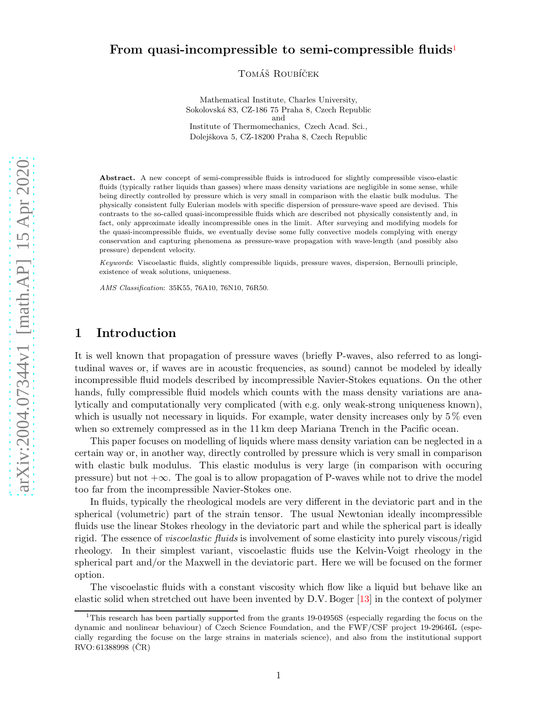### From quasi-incompressible to semi-compressible fluids<sup>[1](#page-0-0)</sup>

TOMÁŠ ROUBÍČEK

Mathematical Institute, Charles University, Sokolovsk´a 83, CZ-186 75 Praha 8, Czech Republic and Institute of Thermomechanics, Czech Acad. Sci., Dolejškova 5, CZ-18200 Praha 8, Czech Republic

Abstract. A new concept of semi-compressible fluids is introduced for slightly compressible visco-elastic fluids (typically rather liquids than gasses) where mass density variations are negligible in some sense, while being directly controlled by pressure which is very small in comparison with the elastic bulk modulus. The physically consistent fully Eulerian models with specific dispersion of pressure-wave speed are devised. This contrasts to the so-called quasi-incompressible fluids which are described not physically consistently and, in fact, only approximate ideally incompressible ones in the limit. After surveying and modifying models for the quasi-incompressible fluids, we eventually devise some fully convective models complying with energy conservation and capturing phenomena as pressure-wave propagation with wave-length (and possibly also pressure) dependent velocity.

Keywords: Viscoelastic fluids, slightly compressible liquids, pressure waves, dispersion, Bernoulli principle, existence of weak solutions, uniqueness.

AMS Classification: 35K55, 76A10, 76N10, 76R50.

### 1 Introduction

It is well known that propagation of pressure waves (briefly P-waves, also referred to as longitudinal waves or, if waves are in acoustic frequencies, as sound) cannot be modeled by ideally incompressible fluid models described by incompressible Navier-Stokes equations. On the other hands, fully compressible fluid models which counts with the mass density variations are analytically and computationally very complicated (with e.g. only weak-strong uniqueness known), which is usually not necessary in liquids. For example, water density increases only by  $5\%$  even when so extremely compressed as in the 11 km deep Mariana Trench in the Pacific ocean.

This paper focuses on modelling of liquids where mass density variation can be neglected in a certain way or, in another way, directly controlled by pressure which is very small in comparison with elastic bulk modulus. This elastic modulus is very large (in comparison with occuring pressure) but not  $+\infty$ . The goal is to allow propagation of P-waves while not to drive the model too far from the incompressible Navier-Stokes one.

In fluids, typically the rheological models are very different in the deviatoric part and in the spherical (volumetric) part of the strain tensor. The usual Newtonian ideally incompressible fluids use the linear Stokes rheology in the deviatoric part and while the spherical part is ideally rigid. The essence of viscoelastic fluids is involvement of some elasticity into purely viscous/rigid rheology. In their simplest variant, viscoelastic fluids use the Kelvin-Voigt rheology in the spherical part and/or the Maxwell in the deviatoric part. Here we will be focused on the former option.

The viscoelastic fluids with a constant viscosity which flow like a liquid but behave like an elastic solid when stretched out have been invented by D.V. Boger [\[13\]](#page-20-0) in the context of polymer

<span id="page-0-0"></span><sup>&</sup>lt;sup>1</sup>This research has been partially supported from the grants 19-04956S (especially regarding the focus on the dynamic and nonlinear behaviour) of Czech Science Foundation, and the FWF/CSF project 19-29646L (especially regarding the focuse on the large strains in materials science), and also from the institutional support  $RVO: 61388998 (CR)$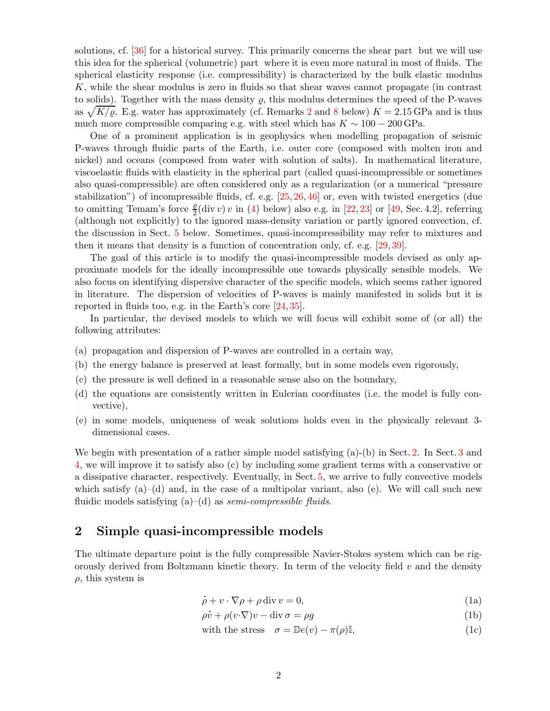solutions, cf. [\[36\]](#page-21-0) for a historical survey. This primarily concerns the shear part but we will use this idea for the spherical (volumetric) part where it is even more natural in most of fluids. The spherical elasticity response (i.e. compressibility) is characterized by the bulk elastic modulus K, while the shear modulus is zero in fluids so that shear waves cannot propagate (in contrast to solids). Together with the mass density  $\rho$ , this modulus determines the speed of the P-waves as  $\sqrt{K/\varrho}$ . E.g. water has approximately (cf. Remarks [2](#page-9-0) and [8](#page-18-0) below)  $K = 2.15$  GPa and is thus much more compressible comparing e.g. with steel which has  $K \sim 100 - 200$  GPa.

One of a prominent application is in geophysics when modelling propagation of seismic P-waves through fluidic parts of the Earth, i.e. outer core (composed with molten iron and nickel) and oceans (composed from water with solution of salts). In mathematical literature, viscoelastic fluids with elasticity in the spherical part (called quasi-incompressible or sometimes also quasi-compressible) are often considered only as a regularization (or a numerical "pressure stabilization") of incompressible fluids, cf. e.g.  $[25, 26, 46]$  $[25, 26, 46]$  $[25, 26, 46]$  $[25, 26, 46]$  or, even with twisted energetics (due to omitting Temam's force  $\frac{\rho}{2}$ (div v) v in [\(4\)](#page-2-0) below) also e.g. in [\[22,](#page-20-3) [23\]](#page-20-4) or [\[49,](#page-21-2) Sec. 4.2], referring (although not explicitly) to the ignored mass-density variation or partly ignored convection, cf. the discussion in Sect. [5](#page-13-0) below. Sometimes, quasi-incompressibility may refer to mixtures and then it means that density is a function of concentration only, cf. e.g. [\[29,](#page-20-5) [39\]](#page-21-3).

The goal of this article is to modify the quasi-incompressible models devised as only approximate models for the ideally incompressible one towards physically sensible models. We also focus on identifying dispersive character of the specific models, which seems rather ignored in literature. The dispersion of velocities of P-waves is mainly manifested in solids but it is reported in fluids too, e.g. in the Earth's core [\[24,](#page-20-6) [35\]](#page-21-4).

In particular, the devised models to which we will focus will exhibit some of (or all) the following attributes:

- (a) propagation and dispersion of P-waves are controlled in a certain way,
- (b) the energy balance is preserved at least formally, but in some models even rigorously,
- (c) the pressure is well defined in a reasonable sense also on the boundary,
- (d) the equations are consistently written in Eulerian coordinates (i.e. the model is fully convective),
- (e) in some models, uniqueness of weak solutions holds even in the physically relevant 3 dimensional cases.

We begin with presentation of a rather simple model satisfying (a)-(b) in Sect. [2.](#page-1-0) In Sect. [3](#page-4-0) and [4,](#page-10-0) we will improve it to satisfy also (c) by including some gradient terms with a conservative or a dissipative character, respectively. Eventually, in Sect. [5,](#page-13-0) we arrive to fully convective models which satisfy  $(a)$ – $(d)$  and, in the case of a multipolar variant, also  $(e)$ . We will call such new fluidic models satisfying  $(a)$ – $(d)$  as semi-compressible fluids.

### <span id="page-1-0"></span>2 Simple quasi-incompressible models

The ultimate departure point is the fully compressible Navier-Stokes system which can be rigorously derived from Boltzmann kinetic theory. In term of the velocity field  $v$  and the density  $\rho$ , this system is

<span id="page-1-4"></span>
$$
\dot{\rho} + v \cdot \nabla \rho + \rho \operatorname{div} v = 0, \tag{1a}
$$

<span id="page-1-3"></span><span id="page-1-1"></span>
$$
\rho + v \cdot \nabla \rho + \rho \operatorname{div} v = 0,
$$
\n
$$
\rho \dot{v} + \rho (v \cdot \nabla) v - \operatorname{div} \sigma = \rho g
$$
\n(1b)

<span id="page-1-2"></span>with the stress 
$$
\sigma = \mathbb{D}e(v) - \pi(\rho)\mathbb{I},
$$
 (1c)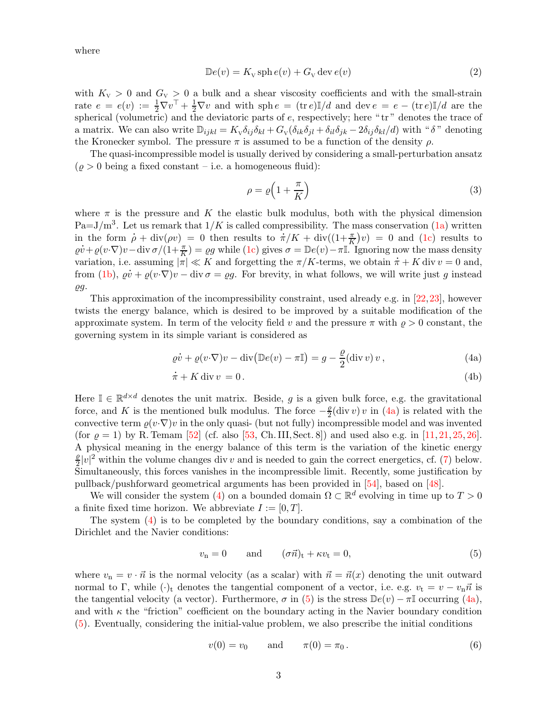where

$$
\mathbb{D}e(v) = K_{\mathbf{v}} \operatorname{sph} e(v) + G_{\mathbf{v}} \operatorname{dev} e(v) \tag{2}
$$

with  $K_V > 0$  and  $G_V > 0$  a bulk and a shear viscosity coefficients and with the small-strain rate  $e = e(v) := \frac{1}{2} \nabla v^{\top} + \frac{1}{2} \nabla v$  and with sph  $e = (\text{tr } e) \mathbb{I}/d$  and  $\text{dev } e = e - (\text{tr } e) \mathbb{I}/d$  are the spherical (volumetric) and the deviatoric parts of  $e$ , respectively; here " $tr$ " denotes the trace of a matrix. We can also write  $\mathbb{D}_{ijkl} = K_{\mathcal{N}} \delta_{ij} \delta_{kl} + G_{\mathcal{N}} (\delta_{ik} \delta_{jl} + \delta_{il} \delta_{jk} - 2 \delta_{ij} \delta_{kl}/d)$  with " $\delta$ " denoting the Kronecker symbol. The pressure  $\pi$  is assumed to be a function of the density  $\rho$ .

The quasi-incompressible model is usually derived by considering a small-perturbation ansatz  $(\varrho > 0$  being a fixed constant – i.e. a homogeneous fluid):

<span id="page-2-5"></span><span id="page-2-3"></span><span id="page-2-1"></span>
$$
\rho = \varrho \left( 1 + \frac{\pi}{K} \right) \tag{3}
$$

where  $\pi$  is the pressure and K the elastic bulk modulus, both with the physical dimension Pa=J/m<sup>3</sup>. Let us remark that  $1/K$  is called compressibility. The mass conservation  $(1a)$  written Pa=J/m<sup>3</sup>. Let us remark that  $1/K$  is called compressibility. The mass conservation (1a) written<br>in the form  $\rho + \text{div}(\rho v) = 0$  then results to  $\pi/K + \text{div}((1+\frac{\pi}{K})v) = 0$  and [\(1c\)](#page-1-2) results to  $\varrho v + \varrho (v \cdot \nabla) v - \text{div} \sigma / (1 + \frac{\pi}{K}) = \varrho g$  while [\(1c\)](#page-1-2) gives  $\sigma = \mathbb{D}e(v) - \pi \mathbb{I}$ . Ignoring now the mass density variation, i.e. assuming  $|\pi| \ll K$  and forgetting the  $\pi/K$ -terms, we obtain  $\pi + K$  div  $v = 0$  and, assuming  $|\pi| \ll K$  and forgetting the  $\pi/K$ -terms, we obtain  $\pi + K$  div  $v = 0$  and, from [\(1b\)](#page-1-3),  $\varrho \dot{v} + \varrho (v \cdot \nabla) v - \text{div} \sigma = \varrho g$ . For brevity, in what follows, we will write just g instead ̺g.

This approximation of the incompressibility constraint, used already e.g. in [\[22,](#page-20-3)[23\]](#page-20-4), however twists the energy balance, which is desired to be improved by a suitable modification of the approximate system. In term of the velocity field v and the pressure  $\pi$  with  $\rho > 0$  constant, the governing system in its simple variant is considered as

<span id="page-2-0"></span>
$$
\varrho \dot{v} + \varrho (v \cdot \nabla) v - \operatorname{div} (\mathbb{D}e(v) - \pi \mathbb{I}) = g - \frac{\varrho}{2} (\operatorname{div} v) v , \qquad (4a)
$$

$$
\dot{\pi} + K \operatorname{div} v = 0. \tag{4b}
$$

Here  $\mathbb{I} \in \mathbb{R}^{d \times d}$  denotes the unit matrix. Beside, g is a given bulk force, e.g. the gravitational force, and K is the mentioned bulk modulus. The force  $-\frac{\rho}{2}$  $\frac{\rho}{2}$ (div v) v in [\(4a\)](#page-2-1) is related with the convective term  $\varrho(v\cdot \nabla)v$  in the only quasi- (but not fully) incompressible model and was invented (for  $\rho = 1$ ) by R. Temam [\[52\]](#page-21-5) (cf. also [\[53,](#page-21-6) Ch. III, Sect. 8]) and used also e.g. in [\[11,](#page-20-7) [21,](#page-20-8) [25,](#page-20-1) [26\]](#page-20-2). A physical meaning in the energy balance of this term is the variation of the kinetic energy  $\varrho$  $\frac{\rho}{2}|v|^2$  within the volume changes div v and is needed to gain the correct energetics, cf. [\(7\)](#page-3-0) below. Simultaneously, this forces vanishes in the incompressible limit. Recently, some justification by pullback/pushforward geometrical arguments has been provided in [\[54\]](#page-21-7), based on [\[48\]](#page-21-8).

We will consider the system [\(4\)](#page-2-0) on a bounded domain  $\Omega \subset \mathbb{R}^d$  evolving in time up to  $T > 0$ a finite fixed time horizon. We abbreviate  $I := [0, T]$ .

The system [\(4\)](#page-2-0) is to be completed by the boundary conditions, say a combination of the Dirichlet and the Navier conditions:

<span id="page-2-2"></span>
$$
v_{\rm n} = 0 \qquad \text{and} \qquad (\sigma \vec{n})_{\rm t} + \kappa v_{\rm t} = 0, \tag{5}
$$

where  $v_n = v \cdot \vec{n}$  is the normal velocity (as a scalar) with  $\vec{n} = \vec{n}(x)$  denoting the unit outward normal to Γ, while  $(\cdot)_t$  denotes the tangential component of a vector, i.e. e.g.  $v_t = v - v_n \vec{n}$  is the tangential velocity (a vector). Furthermore,  $\sigma$  in [\(5\)](#page-2-2) is the stress  $\mathbb{D}e(v) - \pi\mathbb{I}$  occurring [\(4a\)](#page-2-1), and with  $\kappa$  the "friction" coefficient on the boundary acting in the Navier boundary condition [\(5\)](#page-2-2). Eventually, considering the initial-value problem, we also prescribe the initial conditions

<span id="page-2-4"></span>
$$
v(0) = v_0
$$
 and  $\pi(0) = \pi_0$ . (6)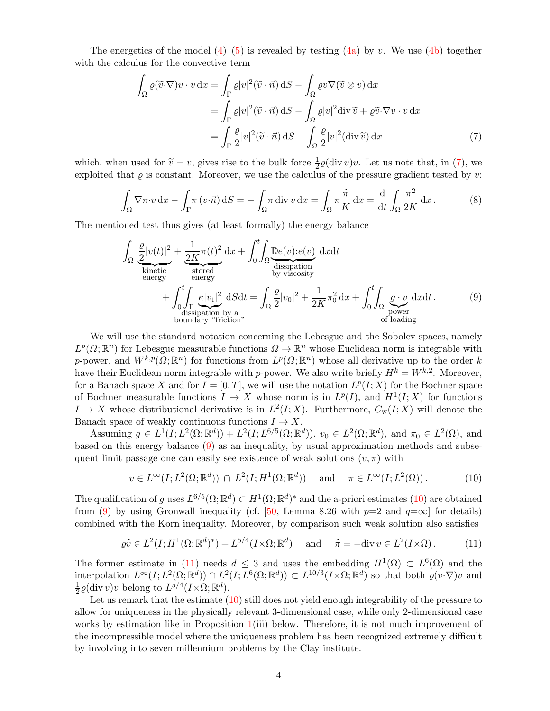The energetics of the model  $(4)$ – $(5)$  is revealed by testing  $(4a)$  by v. We use  $(4b)$  together with the calculus for the convective term

<span id="page-3-0"></span>
$$
\int_{\Omega} \varrho(\widetilde{v} \cdot \nabla) v \cdot v \, dx = \int_{\Gamma} \varrho |v|^2 (\widetilde{v} \cdot \vec{n}) \, dS - \int_{\Omega} \varrho v \nabla(\widetilde{v} \otimes v) \, dx
$$
\n
$$
= \int_{\Gamma} \varrho |v|^2 (\widetilde{v} \cdot \vec{n}) \, dS - \int_{\Omega} \varrho |v|^2 \, div \, \widetilde{v} + \varrho \widetilde{v} \cdot \nabla v \cdot v \, dx
$$
\n
$$
= \int_{\Gamma} \frac{\varrho}{2} |v|^2 (\widetilde{v} \cdot \vec{n}) \, dS - \int_{\Omega} \frac{\varrho}{2} |v|^2 (\text{div } \widetilde{v}) \, dx \tag{7}
$$

which, when used for  $\tilde{v} = v$ , gives rise to the bulk force  $\frac{1}{2}\varrho(\text{div } v)v$ . Let us note that, in [\(7\)](#page-3-0), we exploited that  $\rho$  is constant. Moreover, we use the calculus of the pressure gradient tested by v: .<br>.

<span id="page-3-4"></span>
$$
\int_{\Omega} \nabla \pi \cdot v \, dx - \int_{\Gamma} \pi \left( v \cdot \vec{n} \right) dS = -\int_{\Omega} \pi \operatorname{div} v \, dx = \int_{\Omega} \pi \frac{\dot{\pi}}{K} dx = \frac{d}{dt} \int_{\Omega} \frac{\pi^2}{2K} dx. \tag{8}
$$

The mentioned test thus gives (at least formally) the energy balance

<span id="page-3-1"></span>
$$
\int_{\Omega} \underbrace{\frac{\varrho}{2} |v(t)|^2}_{\text{kinetic}} + \underbrace{\frac{1}{2K} \pi(t)^2}_{\text{stored}} dx + \int_0^t \int_{\Omega} \underbrace{\mathbb{D}e(v) : e(v)}_{\text{dissipation}} dx dt
$$
\n
$$
+ \int_0^t \int_{\Gamma} \underbrace{\kappa |v_t|^2}_{\text{dissipation by a}} dS dt = \int_{\Omega} \frac{\varrho}{2} |v_0|^2 + \frac{1}{2K} \pi_0^2 dx + \int_0^t \int_{\Omega} \underbrace{g \cdot v}_{\text{power}} dx dt.
$$
\n(9)\nboundary "friction"

We will use the standard notation concerning the Lebesgue and the Sobolev spaces, namely  $L^p(\Omega;\mathbb{R}^n)$  for Lebesgue measurable functions  $\Omega \to \mathbb{R}^n$  whose Euclidean norm is integrable with p-power, and  $W^{k,p}(\Omega;\mathbb{R}^n)$  for functions from  $L^p(\Omega;\mathbb{R}^n)$  whose all derivative up to the order k have their Euclidean norm integrable with p-power. We also write briefly  $H^k = W^{k,2}$ . Moreover, for a Banach space X and for  $I = [0, T]$ , we will use the notation  $L^p(I; X)$  for the Bochner space of Bochner measurable functions  $I \to X$  whose norm is in  $L^p(I)$ , and  $H^1(I;X)$  for functions  $I \to X$  whose distributional derivative is in  $L^2(I;X)$ . Furthermore,  $C_w(I;X)$  will denote the Banach space of weakly continuous functions  $I \to X$ .

Assuming  $g \in L^1(I; L^2(\Omega; \mathbb{R}^d)) + L^2(I; L^{6/5}(\Omega; \mathbb{R}^d))$ ,  $v_0 \in L^2(\Omega; \mathbb{R}^d)$ , and  $\pi_0 \in L^2(\Omega)$ , and based on this energy balance [\(9\)](#page-3-1) as an inequality, by usual approximation methods and subsequent limit passage one can easily see existence of weak solutions  $(v, \pi)$  with

<span id="page-3-3"></span><span id="page-3-2"></span>
$$
v \in L^{\infty}(I; L^{2}(\Omega; \mathbb{R}^{d})) \cap L^{2}(I; H^{1}(\Omega; \mathbb{R}^{d})) \quad \text{and} \quad \pi \in L^{\infty}(I; L^{2}(\Omega)).
$$
 (10)

The qualification of g uses  $L^{6/5}(\Omega;\mathbb{R}^d) \subset H^1(\Omega;\mathbb{R}^d)^*$  and the a-priori estimates [\(10\)](#page-3-2) are obtained from [\(9\)](#page-3-1) by using Gronwall inequality (cf. [\[50,](#page-21-9) Lemma 8.26 with  $p=2$  and  $q=\infty$ ] for details) combined with the Korn inequality. Moreover, by comparison such weak solution also satisfies

$$
\varrho \dot{v} \in L^2(I; H^1(\Omega; \mathbb{R}^d)^*) + L^{5/4}(I \times \Omega; \mathbb{R}^d) \quad \text{and} \quad \dot{\pi} = -\text{div}\, v \in L^2(I \times \Omega). \tag{11}
$$

The former estimate in [\(11\)](#page-3-3) needs  $d \leq 3$  and uses the embedding  $H^1(\Omega) \subset L^6(\Omega)$  and the interpolation  $L^{\infty}(I; L^2(\Omega; \mathbb{R}^d)) \cap L^2(I; L^6(\Omega; \mathbb{R}^d)) \subset L^{10/3}(I \times \Omega; \mathbb{R}^d)$  so that both  $\varrho(v \cdot \nabla)v$  and 1  $\frac{1}{2}\varrho(\text{div } v)v$  belong to  $L^{5/4}(I \times \Omega; \mathbb{R}^d)$ .

<span id="page-3-5"></span>Let us remark that the estimate  $(10)$  still does not yield enough integrability of the pressure to allow for uniqueness in the physically relevant 3-dimensional case, while only 2-dimensional case works by estimation like in Proposition  $1(iii)$  $1(iii)$  below. Therefore, it is not much improvement of the incompressible model where the uniqueness problem has been recognized extremely difficult by involving into seven millennium problems by the Clay institute.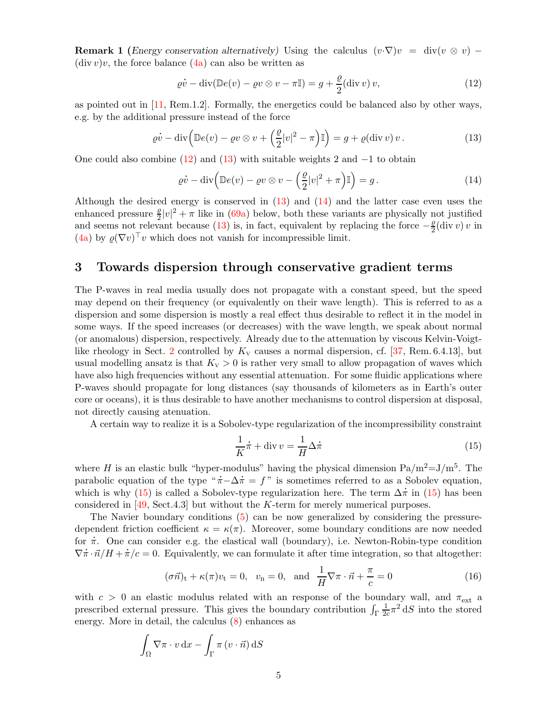**Remark 1** (Energy conservation alternatively) Using the calculus  $(v \nabla)v = \text{div}(v \otimes v)$  –  $(\text{div } v)v$ , the force balance  $(4a)$  can also be written as

<span id="page-4-1"></span>
$$
\varrho \dot{v} - \operatorname{div}(\mathbb{D}e(v) - \varrho v \otimes v - \pi \mathbb{I}) = g + \frac{\varrho}{2}(\operatorname{div} v) v,
$$
\n(12)

as pointed out in  $[11, \text{Rem.1.2}]$ . Formally, the energetics could be balanced also by other ways, e.g. by the additional pressure instead of the force

$$
\varrho \dot{v} - \operatorname{div} \left( \mathbb{D}e(v) - \varrho v \otimes v + \left( \frac{\varrho}{2} |v|^2 - \pi \right) \mathbb{I} \right) = g + \varrho(\operatorname{div} v) v. \tag{13}
$$

One could also combine  $(12)$  and  $(13)$  with suitable weights 2 and  $-1$  to obtain

<span id="page-4-3"></span><span id="page-4-2"></span>
$$
\varrho \dot{v} - \operatorname{div} \left( \mathbb{D}e(v) - \varrho v \otimes v - \left( \frac{\varrho}{2} |v|^2 + \pi \right) \mathbb{I} \right) = g. \tag{14}
$$

Although the desired energy is conserved in [\(13\)](#page-4-2) and [\(14\)](#page-4-3) and the latter case even uses the enhanced pressure  $\frac{\rho}{2}|v|^2 + \pi$  like in [\(69a\)](#page-17-0) below, both these variants are physically not justified and seems not relevant because [\(13\)](#page-4-2) is, in fact, equivalent by replacing the force  $-\frac{\rho}{2}$  $\frac{\varrho}{2}$ (div v) v in [\(4a\)](#page-2-1) by  $\varrho(\nabla v)^\top v$  which does not vanish for incompressible limit.

### <span id="page-4-0"></span>3 Towards dispersion through conservative gradient terms

The P-waves in real media usually does not propagate with a constant speed, but the speed may depend on their frequency (or equivalently on their wave length). This is referred to as a dispersion and some dispersion is mostly a real effect thus desirable to reflect it in the model in some ways. If the speed increases (or decreases) with the wave length, we speak about normal (or anomalous) dispersion, respectively. Already due to the attenuation by viscous Kelvin-Voigt-like rheology in Sect. [2](#page-1-0) controlled by  $K_v$  causes a normal dispersion, cf. [\[37,](#page-21-10) Rem. 6.4.13], but usual modelling ansatz is that  $K_v > 0$  is rather very small to allow propagation of waves which have also high frequencies without any essential attenuation. For some fluidic applications where P-waves should propagate for long distances (say thousands of kilometers as in Earth's outer core or oceans), it is thus desirable to have another mechanisms to control dispersion at disposal, not directly causing atenuation.

A certain way to realize it is a Sobolev-type regularization of the incompressibility constraint

<span id="page-4-5"></span><span id="page-4-4"></span>
$$
\frac{1}{K}\dot{\pi} + \text{div}\,v = \frac{1}{H}\Delta\dot{\pi}
$$
\n(15)

where H is an elastic bulk "hyper-modulus" having the physical dimension  $Pa/m^2=J/m^5$ . The where *H* is an elastic bulk "hyper-modulus" having the physical dimension  $Pa/m^2=J/m^5$ . The parabolic equation of the type " $\pi-\Delta\pi = f$ " is sometimes referred to as a Sobolev equation, parabolic equation of the type " $\pi - \Delta \pi = f$ " is sometimes referred to as a Sobolev equation, which is why [\(15\)](#page-4-4) is called a Sobolev-type regularization here. The term  $\Delta \pi$  in (15) has been considered in [\[49,](#page-21-2) Sect.4.3] but without the K-term for merely numerical purposes.

The Navier boundary conditions [\(5\)](#page-2-2) can be now generalized by considering the pressuredependent friction coefficient  $\kappa = \kappa(\pi)$ . Moreover, some boundary conditions are now needed dependent friction coefficient  $\kappa = \kappa(\pi)$ . Moreover, some boundary conditions are now needed<br>for  $\pi$ . One can consider e.g. the elastical wall (boundary), i.e. Newton-Robin-type condition  $\nabla \dot{\pi} \cdot \vec{n} / H + \dot{\pi} / c = 0$ . Equivalently, we can formulate it after time integration, so that altogether:

$$
(\sigma \vec{n})_t + \kappa(\pi)v_t = 0, \quad v_n = 0, \quad \text{and} \quad \frac{1}{H}\nabla \pi \cdot \vec{n} + \frac{\pi}{c} = 0 \tag{16}
$$

with  $c > 0$  an elastic modulus related with an response of the boundary wall, and  $\pi_{ext}$  a prescribed external pressure. This gives the boundary contribution  $\int_\Gamma$ 1  $\frac{1}{2c}\pi^2$  dS into the stored energy. More in detail, the calculus [\(8\)](#page-3-4) enhances as

$$
\int_{\Omega} \nabla \pi \cdot v \, dx - \int_{\Gamma} \pi (v \cdot \vec{n}) \, dS
$$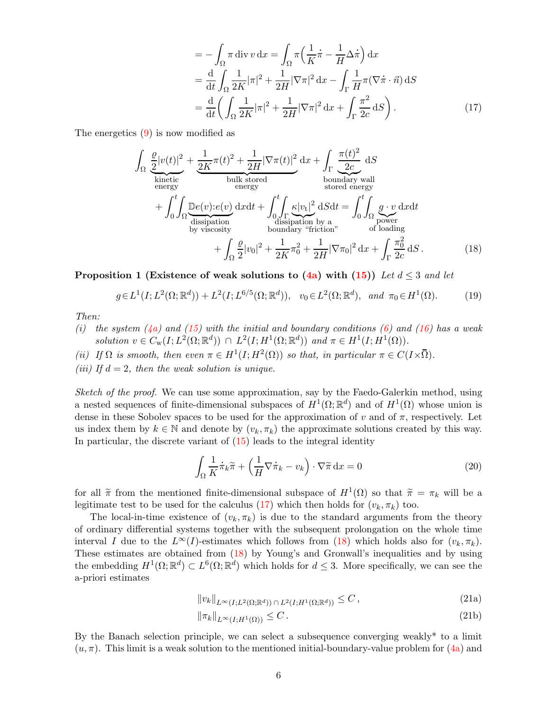<span id="page-5-2"></span><span id="page-5-1"></span>
$$
= -\int_{\Omega} \pi \operatorname{div} v \, dx = \int_{\Omega} \pi \left( \frac{1}{K} \dot{\pi} - \frac{1}{H} \Delta \dot{\pi} \right) dx
$$
  
\n
$$
= \frac{d}{dt} \int_{\Omega} \frac{1}{2K} |\pi|^2 + \frac{1}{2H} |\nabla \pi|^2 \, dx - \int_{\Gamma} \frac{1}{H} \pi (\nabla \dot{\pi} \cdot \vec{n}) \, dS
$$
  
\n
$$
= \frac{d}{dt} \left( \int_{\Omega} \frac{1}{2K} |\pi|^2 + \frac{1}{2H} |\nabla \pi|^2 \, dx + \int_{\Gamma} \frac{\pi^2}{2c} \, dS \right). \tag{17}
$$

The energetics [\(9\)](#page-3-1) is now modified as

$$
\int_{\Omega} \underbrace{\frac{\varrho}{2} |v(t)|^2}_{\text{kinetic}} + \underbrace{\frac{1}{2K} \pi(t)^2 + \frac{1}{2H} |\nabla \pi(t)|^2}_{\text{bulk stored}} dx + \int_{\Gamma} \underbrace{\frac{\pi(t)^2}{2c}}_{\text{boundary wall} } dS
$$
\n
$$
+ \int_{0}^{t} \int_{\Omega} \underbrace{\mathbb{D}e(v):e(v)}_{\text{dissipation}} dx dt + \int_{0}^{t} \int_{\Gamma} \underbrace{\kappa |v_t|^2}_{\text{dissipation} } dS dt = \int_{0}^{t} \int_{\Omega} \underbrace{g \cdot v}_{\text{power} } dX dt
$$
\n
$$
+ \int_{\Omega} \underbrace{\frac{\varrho}{2} |v_0|^2}_{\text{bounds} } + \int_{\Omega} \underbrace{\frac{\varrho}{2} |v_0|^2}_{\text{boundary "friction"}} + \underbrace{\frac{1}{2K} \pi_0^2}_{\text{z}} + \underbrace{\frac{1}{2K} |\nabla \pi_0|^2}_{\text{z}} dx + \int_{\Gamma} \underbrace{\frac{\pi_0^2}{2c}}_{\text{z}} dS. \tag{18}
$$

<span id="page-5-0"></span>Proposition 1 (Existence of weak solutions to [\(4a\)](#page-2-1) with [\(15\)](#page-4-4)) Let  $d \leq 3$  and let

$$
g \in L^1(I; L^2(\Omega; \mathbb{R}^d)) + L^2(I; L^{6/5}(\Omega; \mathbb{R}^d)), \ v_0 \in L^2(\Omega; \mathbb{R}^d), \ and \ \pi_0 \in H^1(\Omega).
$$
 (19)

Then:

- (i) the system [\(4a\)](#page-2-1) and [\(15\)](#page-4-4) with the initial and boundary conditions [\(6\)](#page-2-4) and [\(16\)](#page-4-5) has a weak solution  $v \in C_{\rm w}(I; L^2(\Omega; \mathbb{R}^d)) \cap L^2(I; H^1(\Omega; \mathbb{R}^d))$  and  $\pi \in H^1(I; H^1(\Omega)).$
- (ii) If  $\Omega$  is smooth, then even  $\pi \in H^1(I; H^2(\Omega))$  so that, in particular  $\pi \in C(I \times \overline{\Omega})$ .
- (iii) If  $d = 2$ , then the weak solution is unique.

Sketch of the proof. We can use some approximation, say by the Faedo-Galerkin method, using a nested sequences of finite-dimensional subspaces of  $H^1(\Omega;\mathbb{R}^d)$  and of  $H^1(\Omega)$  whose union is dense in these Sobolev spaces to be used for the approximation of v and of  $\pi$ , respectively. Let us index them by  $k \in \mathbb{N}$  and denote by  $(v_k, \pi_k)$  the approximate solutions created by this way. In particular, the discrete variant of  $(15)$  leads to the integral identity

<span id="page-5-4"></span><span id="page-5-3"></span>
$$
\int_{\Omega} \frac{1}{K} \dot{\pi}_k \tilde{\pi} + \left( \frac{1}{H} \nabla \dot{\pi}_k - v_k \right) \cdot \nabla \tilde{\pi} \, dx = 0 \tag{20}
$$

for all  $\tilde{\pi}$  from the mentioned finite-dimensional subspace of  $H^1(\Omega)$  so that  $\tilde{\pi} = \pi_k$  will be a legitimate test to be used for the calculus [\(17\)](#page-5-1) which then holds for  $(v_k, \pi_k)$  too.

The local-in-time existence of  $(v_k, \pi_k)$  is due to the standard arguments from the theory of ordinary differential systems together with the subsequent prolongation on the whole time interval I due to the  $L^{\infty}(I)$ -estimates which follows from [\(18\)](#page-5-2) which holds also for  $(v_k, \pi_k)$ . These estimates are obtained from [\(18\)](#page-5-2) by Young's and Gronwall's inequalities and by using the embedding  $H^1(\Omega;\mathbb{R}^d) \subset L^6(\Omega;\mathbb{R}^d)$  which holds for  $d \leq 3$ . More specifically, we can see the a-priori estimates

<span id="page-5-5"></span>
$$
||v_k||_{L^{\infty}(I;L^2(\Omega;\mathbb{R}^d)) \cap L^2(I;H^1(\Omega;\mathbb{R}^d))} \leq C ,
$$
\n(21a)

$$
\|\pi_k\|_{L^\infty(I;H^1(\Omega))} \le C. \tag{21b}
$$

By the Banach selection principle, we can select a subsequence converging weakly\* to a limit  $(u, \pi)$ . This limit is a weak solution to the mentioned initial-boundary-value problem for  $(4a)$  and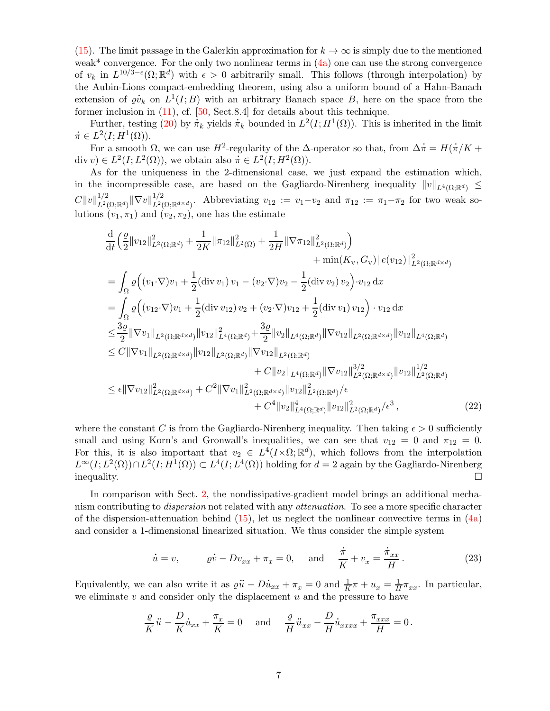[\(15\)](#page-4-4). The limit passage in the Galerkin approximation for  $k \to \infty$  is simply due to the mentioned weak<sup>\*</sup> convergence. For the only two nonlinear terms in  $(4a)$  one can use the strong convergence of  $v_k$  in  $L^{10/3-\epsilon}(\Omega;\mathbb{R}^d)$  with  $\epsilon > 0$  arbitrarily small. This follows (through interpolation) by the Aubin-Lions compact-embedding theorem, using also a uniform bound of a Hahn-Banach . extension of  $\rho v_k$  on  $L^1(I;B)$  with an arbitrary Banach space B, here on the space from the former inclusion in [\(11\)](#page-3-3), cf. [\[50,](#page-21-9) Sect.8.4] for details about this technique.

ner inclusion in (11), cf. [50, Sect.8.4] for details about this technique.<br>Further, testing [\(20\)](#page-5-3) by  $\pi_k$  yields  $\pi_k$  bounded in  $L^2(I; H^1(\Omega))$ . This is inherited in the limit .  $\dot{\pi} \in L^2(I;H^1(\Omega)).$ .

 $L^2(I; H^1(\Omega))$ .<br>For a smooth  $\Omega$ , we can use  $H^2$ -regularity of the  $\Delta$ -operator so that, from  $\Delta \dot{\pi} = H(\Delta)$  $\dot\pi/K$  + For a smooth  $\Omega$ , we can use  $H^2$ -regularity of the  $\Delta$ -<br>div  $v) \in L^2(I; L^2(\Omega))$ , we obtain also  $\pi \in L^2(I; H^2(\Omega))$ .

As for the uniqueness in the 2-dimensional case, we just expand the estimation which, in the incompressible case, are based on the Gagliardo-Nirenberg inequality  $||v||_{L^4(\Omega;\mathbb{R}^d)} \leq$  $C\|v\|_{L^2(\tt}^{1/2}$  $\frac{1/2}{L^2(\Omega;\mathbb{R}^d)} \|\nabla v\|^{1/2}_{L^2(\Omega)}$  $L^2(\Omega;\mathbb{R}^{d\times d})$ . Abbreviating  $v_{12} := v_1-v_2$  and  $\pi_{12} := \pi_1-\pi_2$  for two weak solutions  $(v_1, \pi_1)$  and  $(v_2, \pi_2)$ , one has the estimate

$$
\frac{d}{dt} \left( \frac{\varrho}{2} ||v_{12}||_{L^{2}(\Omega; \mathbb{R}^{d})}^{2} + \frac{1}{2K} ||\pi_{12}||_{L^{2}(\Omega)}^{2} + \frac{1}{2H} ||\nabla \pi_{12}||_{L^{2}(\Omega; \mathbb{R}^{d})}^{2} \right) \n+ \min(K_{\mathcal{V}}, G_{\mathcal{V}}) ||e(v_{12})||_{L^{2}(\Omega; \mathbb{R}^{d \times d})}^{2} \n= \int_{\Omega} \varrho \Big( (v_{1} \cdot \nabla) v_{1} + \frac{1}{2} (\text{div } v_{1}) v_{1} - (v_{2} \cdot \nabla) v_{2} - \frac{1}{2} (\text{div } v_{2}) v_{2} \Big) \cdot v_{12} \, dx \n= \int_{\Omega} \varrho \Big( (v_{12} \cdot \nabla) v_{1} + \frac{1}{2} (\text{div } v_{12}) v_{2} + (v_{2} \cdot \nabla) v_{12} + \frac{1}{2} (\text{div } v_{1}) v_{12} \Big) \cdot v_{12} \, dx \n\leq \frac{3\varrho}{2} ||\nabla v_{1}||_{L^{2}(\Omega; \mathbb{R}^{d \times d})} ||v_{12}||_{L^{4}(\Omega; \mathbb{R}^{d})}^{2} + \frac{3\varrho}{2} ||v_{2}||_{L^{4}(\Omega; \mathbb{R}^{d})} ||\nabla v_{12}||_{L^{2}(\Omega; \mathbb{R}^{d \times d})} ||v_{12}||_{L^{4}(\Omega; \mathbb{R}^{d})} \n\leq C ||\nabla v_{1}||_{L^{2}(\Omega; \mathbb{R}^{d \times d})} ||v_{12}||_{L^{2}(\Omega; \mathbb{R}^{d})}^{2} + C ||v_{2}||_{L^{4}(\Omega; \mathbb{R}^{d})} ||\nabla v_{12}||_{L^{2}(\Omega; \mathbb{R}^{d \times d})}^{3/2} ||v_{12}||_{L^{2}(\Omega; \mathbb{R}^{d})}^{1/2} \n\leq \epsilon ||\nabla v_{12}||_{L^{2}(\Omega; \mathbb{R}^{d \times d})}^{2
$$

where the constant C is from the Gagliardo-Nirenberg inequality. Then taking  $\epsilon > 0$  sufficiently small and using Korn's and Gronwall's inequalities, we can see that  $v_{12} = 0$  and  $\pi_{12} = 0$ . For this, it is also important that  $v_2 \in L^4(I \times \Omega; \mathbb{R}^d)$ , which follows from the interpolation  $L^{\infty}(I; L^{2}(\Omega)) \cap L^{2}(I; H^{1}(\Omega)) \subset L^{4}(I; L^{4}(\Omega))$  holding for  $d = 2$  again by the Gagliardo-Nirenberg  $\Box$ inequality.

In comparison with Sect. [2,](#page-1-0) the nondissipative-gradient model brings an additional mechanism contributing to *dispersion* not related with any *attenuation*. To see a more specific character of the dispersion-attenuation behind  $(15)$ , let us neglect the nonlinear convective terms in  $(4a)$ and consider a 1-dimensional linearized situation. We thus consider the simple system

<span id="page-6-1"></span><span id="page-6-0"></span>
$$
\dot{u} = v, \qquad \rho \dot{v} - Dv_{xx} + \pi_x = 0, \quad \text{and} \quad \frac{\dot{\pi}}{K} + v_x = \frac{\dot{\pi}_{xx}}{H}.
$$
 (23)

Equivalently, we can also write it as  $\varrho$ ..  $\ddot{u} - D$ .  $\dot{u}_{xx} + \pi_x = 0$  and  $\frac{1}{K}\pi + u_x = \frac{1}{H}$  $\frac{1}{H}\pi_{xx}$ . In particular, we eliminate  $v$  and consider only the displacement  $u$  and the pressure to have

$$
\frac{\varrho}{K}\ddot{u} - \frac{D}{K}\dot{u}_{xx} + \frac{\pi_x}{K} = 0 \quad \text{and} \quad \frac{\varrho}{H}\ddot{u}_{xx} - \frac{D}{H}\dot{u}_{xxxx} + \frac{\pi_{xxx}}{H} = 0.
$$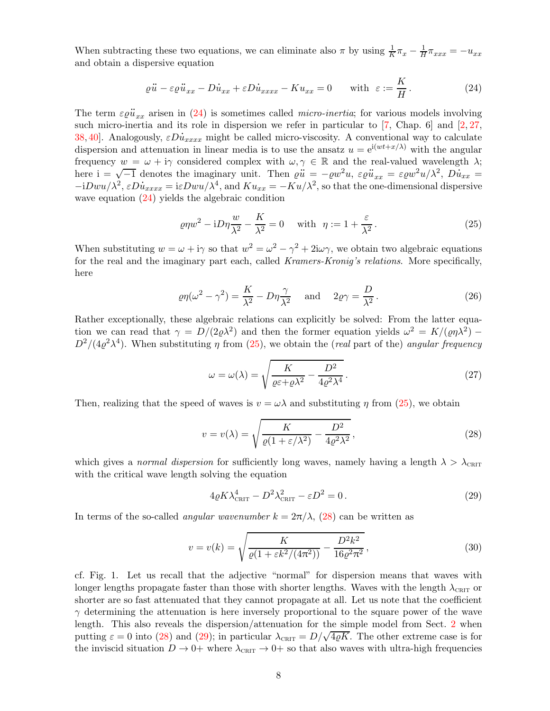When subtracting these two equations, we can eliminate also  $\pi$  by using  $\frac{1}{K}\pi_x - \frac{1}{H}\pi_{xxx} = -u_{xx}$ and obtain a dispersive equation

$$
\varrho \ddot{u} - \varepsilon \varrho \ddot{u}_{xx} - D\dot{u}_{xx} + \varepsilon D\dot{u}_{xxxx} - Ku_{xx} = 0 \quad \text{with } \varepsilon := \frac{K}{H}.
$$
 (24)

The term  $\varepsilon \varrho$ ..  $\ddot{u}_{xx}$  arisen in [\(24\)](#page-7-0) is sometimes called *micro-inertia*; for various models involving such micro-inertia and its role in dispersion we refer in particular to [\[7,](#page-20-9) Chap. 6] and [\[2,](#page-19-0) [27,](#page-20-10) such micro-inertia and its role in dispersion we refer in particular to [7, Chap. 6] and [2, 27, [38,](#page-21-11) [40\]](#page-21-12). Analogously,  $\varepsilon D\dot{u}_{xxxx}$  might be called micro-viscosity. A conventional way to calculate dispersion and attenuation in linear media is to use the ansatz  $u = e^{i(wt + x/\lambda)}$  with the angular frequency  $w = \omega + i\gamma$  considered complex with  $\omega, \gamma \in \mathbb{R}$  and the real-valued wavelength  $\lambda$ ; here  $i = \sqrt{-1}$  denotes the imaginary unit. Then  $\varrho \ddot{u} = -\varrho w^2 u$ ,  $\varepsilon \varrho \ddot{u}_{xx} = \varepsilon \varrho w^2 u / \lambda^2$ ,  $D \dot{u}_{xx} =$ here  $i = \sqrt{-1}$  denotes the imaginary unit. Then  $\varrho \ddot{u} = -\varrho w^2 u$ ,  $\varepsilon \varrho \ddot{u}_{xx} = \varepsilon \varrho w^2 u / \lambda^2$ ,  $D\dot{u}_{xx} = -iDwu/\lambda^2$ ,  $\varepsilon D\dot{u}_{xxxx} = i\varepsilon Dwu/\lambda^4$ , and  $Ku_{xx} = -Ku/\lambda^2$ , so that the one-dimensional dispersive wave equation [\(24\)](#page-7-0) yields the algebraic condition

<span id="page-7-1"></span><span id="page-7-0"></span>
$$
\varrho\eta w^2 - iD\eta \frac{w}{\lambda^2} - \frac{K}{\lambda^2} = 0 \quad \text{with} \quad \eta := 1 + \frac{\varepsilon}{\lambda^2} \,. \tag{25}
$$

When substituting  $w = \omega + i\gamma$  so that  $w^2 = \omega^2 - \gamma^2 + 2i\omega\gamma$ , we obtain two algebraic equations for the real and the imaginary part each, called *Kramers-Kronig's relations*. More specifically, here

$$
\varrho\eta(\omega^2 - \gamma^2) = \frac{K}{\lambda^2} - D\eta \frac{\gamma}{\lambda^2} \quad \text{and} \quad 2\varrho\gamma = \frac{D}{\lambda^2}.
$$
 (26)

Rather exceptionally, these algebraic relations can explicitly be solved: From the latter equation we can read that  $\gamma = D/(2\rho\lambda^2)$  and then the former equation yields  $\omega^2 = K/(\rho\eta\lambda^2)$  $D^2/(4\varrho^2\lambda^4)$ . When substituting  $\eta$  from [\(25\)](#page-7-1), we obtain the (real part of the) angular frequency

<span id="page-7-6"></span><span id="page-7-4"></span>
$$
\omega = \omega(\lambda) = \sqrt{\frac{K}{\varrho \varepsilon + \varrho \lambda^2} - \frac{D^2}{4\varrho^2 \lambda^4}}.
$$
\n(27)

Then, realizing that the speed of waves is  $v = \omega \lambda$  and substituting  $\eta$  from [\(25\)](#page-7-1), we obtain

<span id="page-7-2"></span>
$$
v = v(\lambda) = \sqrt{\frac{K}{\varrho(1 + \varepsilon/\lambda^2)}} - \frac{D^2}{4\varrho^2 \lambda^2},
$$
\n(28)

which gives a normal dispersion for sufficiently long waves, namely having a length  $\lambda > \lambda_{\text{CHIT}}$ with the critical wave length solving the equation

<span id="page-7-5"></span><span id="page-7-3"></span>
$$
4\varrho K \lambda_{\text{cntr}}^4 - D^2 \lambda_{\text{cntr}}^2 - \varepsilon D^2 = 0. \tag{29}
$$

In terms of the so-called *angular wavenumber*  $k = 2\pi/\lambda$ , [\(28\)](#page-7-2) can be written as

$$
v = v(k) = \sqrt{\frac{K}{\varrho(1 + \varepsilon k^2/(4\pi^2))} - \frac{D^2 k^2}{16\varrho^2 \pi^2}},
$$
\n(30)

cf. Fig. 1. Let us recall that the adjective "normal" for dispersion means that waves with longer lengths propagate faster than those with shorter lengths. Waves with the length  $\lambda_{\text{CRIT}}$  or shorter are so fast attenuated that they cannot propagate at all. Let us note that the coefficient  $\gamma$  determining the attenuation is here inversely proportional to the square power of the wave length. This also reveals the dispersion/attenuation for the simple model from Sect. [2](#page-1-0) when putting  $\varepsilon = 0$  into [\(28\)](#page-7-2) and [\(29\)](#page-7-3); in particular  $\lambda_{\text{CRT}} = D/\sqrt{4\rho K}$ . The other extreme case is for the inviscid situation  $D \to 0^+$  where  $\lambda_{\text{CRIT}} \to 0^+$  so that also waves with ultra-high frequencies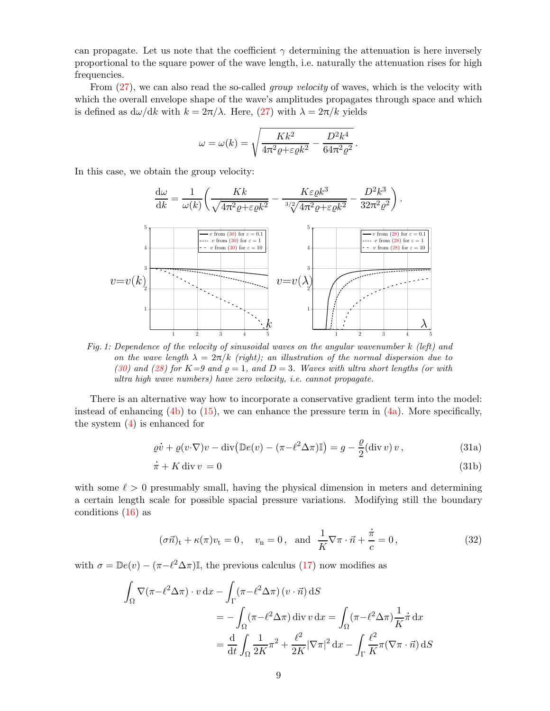can propagate. Let us note that the coefficient  $\gamma$  determining the attenuation is here inversely proportional to the square power of the wave length, i.e. naturally the attenuation rises for high frequencies.

From  $(27)$ , we can also read the so-called *group velocity* of waves, which is the velocity with which the overall envelope shape of the wave's amplitudes propagates through space and which is defined as  $d\omega/dk$  with  $k = 2\pi/\lambda$ . Here, [\(27\)](#page-7-4) with  $\lambda = 2\pi/k$  yields

$$
\omega = \omega(k) = \sqrt{\frac{Kk^2}{4\pi^2 \varrho + \varepsilon \varrho k^2} - \frac{D^2 k^4}{64\pi^2 \varrho^2}}.
$$

In this case, we obtain the group velocity:



Fig. 1: Dependence of the velocity of sinusoidal waves on the angular wavenumber k (left) and on the wave length  $\lambda = 2\pi/k$  (right); an illustration of the normal dispersion due to [\(30\)](#page-7-5) and [\(28\)](#page-7-2) for  $K=9$  and  $\rho = 1$ , and  $D=3$ . Waves with ultra short lengths (or with ultra high wave numbers) have zero velocity, i.e. cannot propagate.

There is an alternative way how to incorporate a conservative gradient term into the model: instead of enhancing [\(4b\)](#page-2-3) to [\(15\)](#page-4-4), we can enhance the pressure term in [\(4a\)](#page-2-1). More specifically, the system [\(4\)](#page-2-0) is enhanced for

<span id="page-8-0"></span>
$$
\varrho \dot{v} + \varrho (v \cdot \nabla) v - \operatorname{div} (\mathbb{D}e(v) - (\pi - \ell^2 \Delta \pi) \mathbb{I}) = g - \frac{\varrho}{2} (\operatorname{div} v) v, \tag{31a}
$$

<span id="page-8-2"></span>
$$
\dot{\pi} + K \operatorname{div} v = 0 \tag{31b}
$$

with some  $\ell > 0$  presumably small, having the physical dimension in meters and determining a certain length scale for possible spacial pressure variations. Modifying still the boundary conditions [\(16\)](#page-4-5) as

<span id="page-8-1"></span>
$$
(\sigma \vec{n})_t + \kappa(\pi)v_t = 0
$$
,  $v_n = 0$ , and  $\frac{1}{K}\nabla \pi \cdot \vec{n} + \frac{\dot{\pi}}{c} = 0$ , (32)

with  $\sigma = \mathbb{D}e(v) - (\pi - \ell^2 \Delta \pi)\mathbb{I}$ , the previous calculus [\(17\)](#page-5-1) now modifies as

$$
\int_{\Omega} \nabla(\pi - \ell^2 \Delta \pi) \cdot v \, dx - \int_{\Gamma} (\pi - \ell^2 \Delta \pi) (v \cdot \vec{n}) \, dS
$$
\n
$$
= - \int_{\Omega} (\pi - \ell^2 \Delta \pi) \, \text{div } v \, dx = \int_{\Omega} (\pi - \ell^2 \Delta \pi) \frac{1}{K} \dot{\pi} \, dx
$$
\n
$$
= \frac{d}{dt} \int_{\Omega} \frac{1}{2K} \pi^2 + \frac{\ell^2}{2K} |\nabla \pi|^2 \, dx - \int_{\Gamma} \frac{\ell^2}{K} \pi (\nabla \pi \cdot \vec{n}) \, dS
$$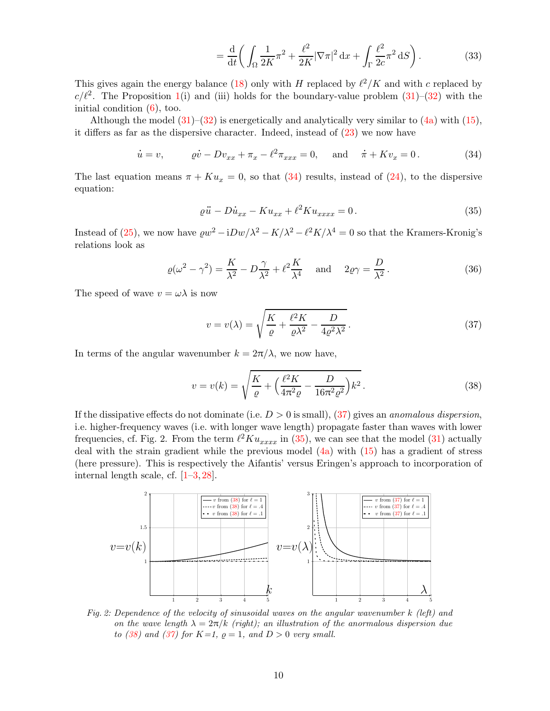<span id="page-9-5"></span><span id="page-9-1"></span>
$$
=\frac{\mathrm{d}}{\mathrm{d}t}\bigg(\int_{\Omega}\frac{1}{2K}\pi^2+\frac{\ell^2}{2K}|\nabla\pi|^2\,\mathrm{d}x+\int_{\Gamma}\frac{\ell^2}{2c}\pi^2\,\mathrm{d}S\bigg). \tag{33}
$$

This gives again the energy balance [\(18\)](#page-5-2) only with H replaced by  $\ell^2/K$  and with c replaced by  $c/\ell^2$ . The Proposition [1\(](#page-5-0)i) and (iii) holds for the boundary-value problem [\(31\)](#page-8-0)–[\(32\)](#page-8-1) with the initial condition  $(6)$ , too.

Although the model  $(31)$ – $(32)$  is energetically and analytically very similar to  $(4a)$  with  $(15)$ , it differs as far as the dispersive character. Indeed, instead of [\(23\)](#page-6-0) we now have

$$
\dot{u} = v,
$$
  $\rho \dot{v} - Dv_{xx} + \pi_x - \ell^2 \pi_{xxx} = 0,$  and  $\dot{\pi} + Kv_x = 0.$  (34)

The last equation means  $\pi + Ku_x = 0$ , so that [\(34\)](#page-9-1) results, instead of [\(24\)](#page-7-0), to the dispersive equation:

<span id="page-9-3"></span>
$$
\varrho \ddot{u} - D\dot{u}_{xx} - Ku_{xx} + \ell^2 Ku_{xxxx} = 0.
$$
\n(35)

Instead of [\(25\)](#page-7-1), we now have  $\varrho w^2 - iDw/\lambda^2 - K/\lambda^2 - \ell^2 K/\lambda^4 = 0$  so that the Kramers-Kronig's relations look as

$$
\varrho(\omega^2 - \gamma^2) = \frac{K}{\lambda^2} - D\frac{\gamma}{\lambda^2} + \ell^2 \frac{K}{\lambda^4} \quad \text{and} \quad 2\varrho\gamma = \frac{D}{\lambda^2}.
$$
 (36)

The speed of wave  $v = \omega \lambda$  is now

<span id="page-9-4"></span><span id="page-9-2"></span>
$$
v = v(\lambda) = \sqrt{\frac{K}{\varrho} + \frac{\ell^2 K}{\varrho \lambda^2} - \frac{D}{4\varrho^2 \lambda^2}}.
$$
\n(37)

In terms of the angular wavenumber  $k = 2\pi/\lambda$ , we now have,

$$
v = v(k) = \sqrt{\frac{K}{\varrho} + \left(\frac{\ell^2 K}{4\pi^2 \varrho} - \frac{D}{16\pi^2 \varrho^2}\right) k^2}.
$$
 (38)

If the dissipative effects do not dominate (i.e.  $D > 0$  is small), [\(37\)](#page-9-2) gives an *anomalous dispersion*, i.e. higher-frequency waves (i.e. with longer wave length) propagate faster than waves with lower frequencies, cf. Fig. 2. From the term  $\ell^2 K u_{xxxx}$  in [\(35\)](#page-9-3), we can see that the model [\(31\)](#page-8-0) actually deal with the strain gradient while the previous model [\(4a\)](#page-2-1) with [\(15\)](#page-4-4) has a gradient of stress (here pressure). This is respectively the Aifantis' versus Eringen's approach to incorporation of internal length scale, cf.  $[1-3, 28]$  $[1-3, 28]$  $[1-3, 28]$  $[1-3, 28]$ .



<span id="page-9-0"></span>Fig. 2: Dependence of the velocity of sinusoidal waves on the angular wavenumber k (left) and on the wave length  $\lambda = 2\pi/k$  (right); an illustration of the anormalous dispersion due to [\(38\)](#page-9-4) and [\(37\)](#page-9-2) for  $K=1$ ,  $\rho=1$ , and  $D>0$  very small.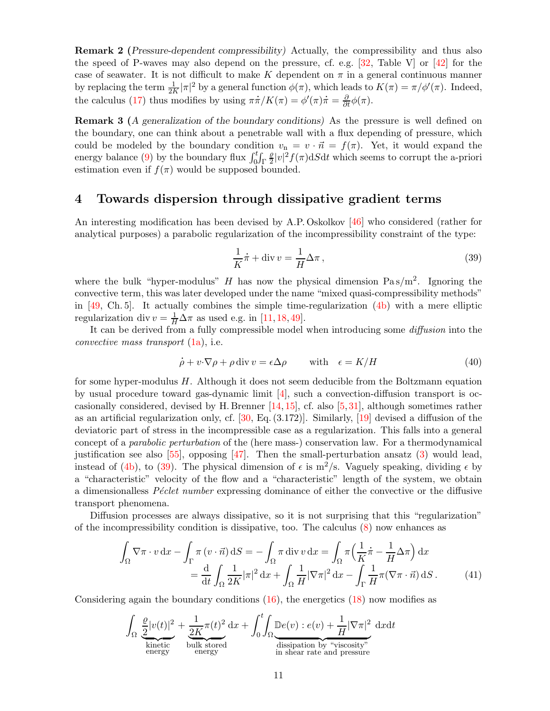Remark 2 (Pressure-dependent compressibility) Actually, the compressibility and thus also the speed of P-waves may also depend on the pressure, cf. e.g. [\[32,](#page-21-13) Table V] or [\[42\]](#page-21-14) for the case of seawater. It is not difficult to make K dependent on  $\pi$  in a general continuous manner by replacing the term  $\frac{1}{2K}|\pi|^2$  by a general function  $\phi(\pi)$ , which leads to  $K(\pi) = \pi/\phi'(\pi)$ . Indeed, the calculus [\(17\)](#page-5-1) thus modifies by using  $\pi \dot{\pi}/K(\pi) = \phi'(\pi)\dot{\pi} = \frac{\partial}{\partial t}\phi(\pi)$ .

**Remark 3** (A generalization of the boundary conditions) As the pressure is well defined on the boundary, one can think about a penetrable wall with a flux depending of pressure, which could be modeled by the boundary condition  $v_n = v \cdot \vec{n} = f(\pi)$ . Yet, it would expand the energy balance [\(9\)](#page-3-1) by the boundary flux  $\int_0^t \int_{\Gamma}$  $\varrho$  $\frac{\varrho}{2}|v|^2 f(\pi)dSdt$  which seems to corrupt the a-priori estimation even if  $f(\pi)$  would be supposed bounded.

# <span id="page-10-0"></span>4 Towards dispersion through dissipative gradient terms

An interesting modification has been devised by A.P. Oskolkov [\[46\]](#page-21-1) who considered (rather for analytical purposes) a parabolic regularization of the incompressibility constraint of the type:

<span id="page-10-3"></span><span id="page-10-1"></span>
$$
\frac{1}{K}\dot{\pi} + \text{div}\,v = \frac{1}{H}\Delta\pi\,,\tag{39}
$$

where the bulk "hyper-modulus" H has now the physical dimension  $Pas/m^2$ . Ignoring the convective term, this was later developed under the name "mixed quasi-compressibility methods" in  $[49, Ch. 5]$ . It actually combines the simple time-regularization  $(4b)$  with a mere elliptic regularization div  $v = \frac{1}{H} \Delta \pi$  as used e.g. in [\[11,](#page-20-7) [18,](#page-20-12) [49\]](#page-21-2).

It can be derived from a fully compressible model when introducing some diffusion into the convective mass transport  $(1a)$ , i.e.

$$
\dot{\rho} + v \cdot \nabla \rho + \rho \operatorname{div} v = \epsilon \Delta \rho \quad \text{with} \quad \epsilon = K/H \tag{40}
$$

for some hyper-modulus H. Although it does not seem deducible from the Boltzmann equation by usual procedure toward gas-dynamic limit [\[4\]](#page-20-13), such a convection-diffusion transport is occasionally considered, devised by H. Brenner [\[14,](#page-20-14) [15\]](#page-20-15), cf. also [\[5,](#page-20-16) [31\]](#page-21-15), although sometimes rather as an artificial regularization only, cf.  $[30, Eq. (3.172)]$ . Similarly,  $[19]$  devised a diffusion of the deviatoric part of stress in the incompressible case as a regularization. This falls into a general concept of a parabolic perturbation of the (here mass-) conservation law. For a thermodynamical justification see also  $[55]$ , opposing  $[47]$ . Then the small-perturbation ansatz  $(3)$  would lead, instead of [\(4b\)](#page-2-3), to [\(39\)](#page-10-1). The physical dimension of  $\epsilon$  is m<sup>2</sup>/s. Vaguely speaking, dividing  $\epsilon$  by a "characteristic" velocity of the flow and a "characteristic" length of the system, we obtain a dimensionalless *Péclet number* expressing dominance of either the convective or the diffusive transport phenomena.

Diffusion processes are always dissipative, so it is not surprising that this "regularization" of the incompressibility condition is dissipative, too. The calculus [\(8\)](#page-3-4) now enhances as

$$
\int_{\Omega} \nabla \pi \cdot v \, dx - \int_{\Gamma} \pi \left( v \cdot \vec{n} \right) dS = -\int_{\Omega} \pi \operatorname{div} v \, dx = \int_{\Omega} \pi \left( \frac{1}{K} \dot{\pi} - \frac{1}{H} \Delta \pi \right) dx
$$

$$
= \frac{d}{dt} \int_{\Omega} \frac{1}{2K} |\pi|^2 \, dx + \int_{\Omega} \frac{1}{H} |\nabla \pi|^2 \, dx - \int_{\Gamma} \frac{1}{H} \pi (\nabla \pi \cdot \vec{n}) \, dS. \tag{41}
$$

Considering again the boundary conditions  $(16)$ , the energetics  $(18)$  now modifies as

<span id="page-10-2"></span>
$$
\int_{\Omega} \underbrace{\frac{\varrho}{2} |v(t)|^2}_{\text{kinetic}} + \underbrace{\frac{1}{2K} \pi(t)^2}_{\text{bulk stored}} dx + \int_0^t \underbrace{\int_{\Omega} \underbrace{\mathbb{D}e(v) : e(v)}_{\text{dissipation by "viscosity}^*}}_{\text{in shear rate and pressure}}
$$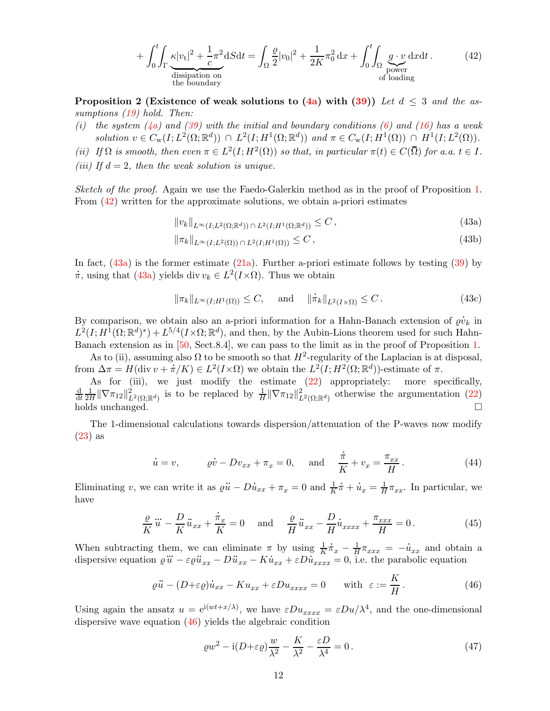<span id="page-11-0"></span>
$$
+\int_{0}^{t} \int_{\Gamma} \underbrace{\kappa |v_{t}|^{2} + \frac{1}{c} \pi^{2}}_{\text{dissipation on}} dS dt = \int_{\Omega} \frac{\varrho}{2} |v_{0}|^{2} + \frac{1}{2K} \pi_{0}^{2} dx + \int_{0}^{t} \int_{\Omega} \underbrace{g \cdot v}_{\text{power}} dx dt.
$$
 (42)

**Proposition 2 (Existence of weak solutions to [\(4a\)](#page-2-1) with [\(39\)](#page-10-1))** Let  $d \leq 3$  and the as-sumptions [\(19\)](#page-5-4) hold. Then:

- (i) the system  $(4a)$  and  $(39)$  with the initial and boundary conditions [\(6\)](#page-2-4) and [\(16\)](#page-4-5) has a weak solution  $v \in C_w(I; L^2(\Omega; \mathbb{R}^d)) \cap L^2(I; H^1(\Omega; \mathbb{R}^d))$  and  $\pi \in C_w(I; H^1(\Omega)) \cap H^1(I; L^2(\Omega)).$
- (ii) If  $\Omega$  is smooth, then even  $\pi \in L^2(I; H^2(\Omega))$  so that, in particular  $\pi(t) \in C(\overline{\Omega})$  for a.a.  $t \in I$ .
- (iii) If  $d = 2$ , then the weak solution is unique.

Sketch of the proof. Again we use the Faedo-Galerkin method as in the proof of Proposition [1.](#page-5-0) From [\(42\)](#page-11-0) written for the approximate solutions, we obtain a-priori estimates

<span id="page-11-7"></span><span id="page-11-5"></span><span id="page-11-1"></span>
$$
||v_k||_{L^{\infty}(I;L^2(\Omega;\mathbb{R}^d)) \cap L^2(I;H^1(\Omega;\mathbb{R}^d))} \leq C , \qquad (43a)
$$

$$
\|\pi_k\|_{L^{\infty}(I;L^2(\Omega))\,\cap\,L^2(I;H^1(\Omega))} \leq C\,,\tag{43b}
$$

In fact,  $(43a)$  is the former estimate  $(21a)$ . Further a-priori estimate follows by testing  $(39)$  by  $\dot{\pi}$ , using that [\(43a\)](#page-11-1) yields div  $v_k \in L^2(I \times \Omega)$ . Thus we obtain

<span id="page-11-6"></span>
$$
\|\pi_k\|_{L^{\infty}(I;H^1(\Omega))} \le C, \quad \text{ and } \quad \|\dot{\pi}_k\|_{L^2(I\times\Omega)} \le C.
$$
 (43c)

By comparison, we obtain also an a-priori information for a Hahn-Banach extension of  $\varrho$ .  $\dot{v}_k$  in  $L^2(I; H^1(\Omega;\mathbb{R}^d)^*) + L^{5/4}(I \times \Omega;\mathbb{R}^d)$ , and then, by the Aubin-Lions theorem used for such Hahn-Banach extension as in [\[50,](#page-21-9) Sect.8.4], we can pass to the limit as in the proof of Proposition [1.](#page-5-0)

As to (ii), assuming also  $\Omega$  to be smooth so that  $H^2$ -regularity of the Laplacian is at disposal, from  $\Delta \pi = H(\text{div } v + \dot{\pi}/K) \in L^2(I \times \Omega)$  we obtain the  $L^2(I; H^2(\Omega; \mathbb{R}^d))$ -estimate of  $\pi$ .

As for (iii), we just modify the estimate  $(22)$  appropriately: more specifically, d dt 1  $\frac{1}{2H} \|\nabla \pi_{12}\|_{L^2(\Omega;\mathbb{R}^d)}^2$  is to be replaced by  $\frac{1}{H} \|\nabla \pi_{12}\|_{L^2(\Omega;\mathbb{R}^d)}^2$  otherwise the argumentation [\(22\)](#page-6-1) holds unchanged.  $\Box$ 

The 1-dimensional calculations towards dispersion/attenuation of the P-waves now modify [\(23\)](#page-6-0) as .

<span id="page-11-3"></span>
$$
\dot{u} = v, \qquad \varrho \dot{v} - Dv_{xx} + \pi_x = 0, \qquad \text{and} \qquad \frac{\dot{\pi}}{K} + v_x = \frac{\pi_{xx}}{H} \,. \tag{44}
$$

Eliminating  $v$ , we can write it as  $\varrho$  $\ddot{u} - D$  $\dot{u}_{xx} + \pi_x = 0$  and  $\frac{1}{K}$  $\dot\pi$  +  $\dot{u}_x = \frac{1}{H}$  $\frac{1}{H}\pi_{xx}$ . In particular, we have .

$$
\frac{\varrho}{K}\ddot{u} - \frac{D}{K}\ddot{u}_{xx} + \frac{\dot{\pi}_x}{K} = 0 \quad \text{and} \quad \frac{\varrho}{H}\ddot{u}_{xx} - \frac{D}{H}\dot{u}_{xxxx} + \frac{\pi_{xxx}}{H} = 0. \tag{45}
$$

When subtracting them, we can eliminate  $\pi$  by using  $\frac{1}{K}$  $\dot{\pi}_x - \frac{1}{H}$  $\frac{1}{H}\pi_{xxx} = \dot{u}_{xx}$  and obtain a dispersive equation  $\varrho$ ...  $\dddot{u} - \varepsilon \varrho$ .<br>..  $\ddot{u}_{xx}$  – D ..  $\ddot{u}_{xx}$  – K  $\begin{array}{l}\n\pi \text{ by using } \frac{1}{K}\pi_x - \frac{1}{H}\pi_{xxx} = -\dot{u}_{xx} \text{ and obtain} \\
\dot{u}_{xx} + \varepsilon D\dot{u}_{xxxx} = 0, \text{ i.e. the parabolic equation}\n\end{array}$ 

$$
\varrho \ddot{u} - (D + \varepsilon \varrho) \dot{u}_{xx} - K u_{xx} + \varepsilon D u_{xxxx} = 0 \quad \text{with } \varepsilon := \frac{K}{H}.
$$
 (46)

Using again the ansatz  $u = e^{i(wt + x/\lambda)}$ , we have  $\varepsilon Du_{xxxx} = \varepsilon Du/\lambda^4$ , and the one-dimensional dispersive wave equation [\(46\)](#page-11-2) yields the algebraic condition

<span id="page-11-4"></span><span id="page-11-2"></span>
$$
\varrho w^2 - i(D + \varepsilon \varrho) \frac{w}{\lambda^2} - \frac{K}{\lambda^2} - \frac{\varepsilon D}{\lambda^4} = 0. \tag{47}
$$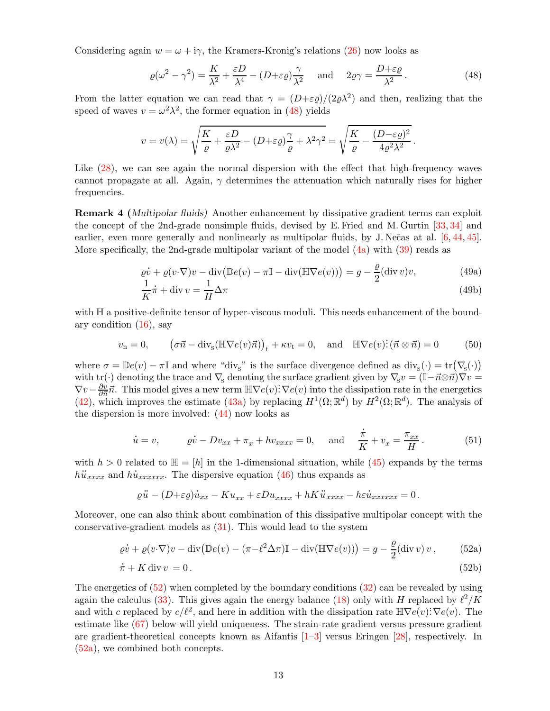Considering again  $w = \omega + i\gamma$ , the Kramers-Kronig's relations [\(26\)](#page-7-6) now looks as

<span id="page-12-0"></span>
$$
\varrho(\omega^2 - \gamma^2) = \frac{K}{\lambda^2} + \frac{\varepsilon D}{\lambda^4} - (D + \varepsilon \varrho) \frac{\gamma}{\lambda^2} \quad \text{and} \quad 2\varrho\gamma = \frac{D + \varepsilon \varrho}{\lambda^2}.
$$
 (48)

From the latter equation we can read that  $\gamma = (D+\varepsilon g)/(2\rho\lambda^2)$  and then, realizing that the speed of waves  $v = \omega^2 \lambda^2$ , the former equation in [\(48\)](#page-12-0) yields

$$
v = v(\lambda) = \sqrt{\frac{K}{\varrho} + \frac{\varepsilon D}{\varrho \lambda^2} - (D + \varepsilon \varrho) \frac{\gamma}{\varrho} + \lambda^2 \gamma^2} = \sqrt{\frac{K}{\varrho} - \frac{(D - \varepsilon \varrho)^2}{4\varrho^2 \lambda^2}}.
$$

Like  $(28)$ , we can see again the normal dispersion with the effect that high-frequency waves cannot propagate at all. Again,  $\gamma$  determines the attenuation which naturally rises for higher frequencies.

Remark 4 (Multipolar fluids) Another enhancement by dissipative gradient terms can exploit the concept of the 2nd-grade nonsimple fluids, devised by E. Fried and M. Gurtin [\[33,](#page-21-19) [34\]](#page-21-20) and earlier, even more generally and nonlinearly as multipolar fluids, by J. Nečas at al. [\[6,](#page-20-18) [44,](#page-21-21) [45\]](#page-21-22). More specifically, the 2nd-grade multipolar variant of the model  $(4a)$  with  $(39)$  reads as

<span id="page-12-5"></span><span id="page-12-3"></span>
$$
\varrho \dot{v} + \varrho (v \cdot \nabla) v - \operatorname{div} (\mathbb{D}e(v) - \pi \mathbb{I} - \operatorname{div} (\mathbb{H} \nabla e(v))) = g - \frac{\varrho}{2} (\operatorname{div} v) v,
$$
(49a)

<span id="page-12-6"></span><span id="page-12-4"></span>
$$
\frac{1}{K}\dot{\pi} + \text{div}\,v = \frac{1}{H}\Delta\pi\tag{49b}
$$

with  $\mathbb H$  a positive-definite tensor of hyper-viscous moduli. This needs enhancement of the boundary condition  $(16)$ , say

$$
v_{\mathbf{n}} = 0, \qquad (\sigma \vec{n} - \text{div}_{\mathbf{s}}(\mathbb{H} \nabla e(v)\vec{n}))_{\mathbf{t}} + \kappa v_{\mathbf{t}} = 0, \quad \text{and} \quad \mathbb{H} \nabla e(v) \colon (\vec{n} \otimes \vec{n}) = 0 \tag{50}
$$

where  $\sigma = \mathbb{D}e(v) - \pi \mathbb{I}$  and where "div<sub>S</sub>" is the surface divergence defined as  $\text{div}_{S}(\cdot) = \text{tr}(\nabla_{\!S}(\cdot))$ with tr(·) denoting the trace and  $\nabla_{\mathbf{s}}$  denoting the surface gradient given by  $\nabla_{\mathbf{s}}v = (\mathbb{I} - \vec{n} \otimes \vec{n})\nabla v =$  $\nabla v - \frac{\partial v}{\partial \vec{n}} \vec{n}$ . This model gives a new term  $\mathbb{H} \nabla e(v)$ :  $\nabla e(v)$  into the dissipation rate in the energetics [\(42\)](#page-11-0), which improves the estimate [\(43a\)](#page-11-1) by replacing  $H^1(\Omega;\mathbb{R}^d)$  by  $H^2(\Omega;\mathbb{R}^d)$ . The analysis of the dispersion is more involved:  $(44)$  now looks as .

$$
\dot{u} = v, \qquad \dot{\varrho v} - Dv_{xx} + \pi_x + hv_{xxxx} = 0, \quad \text{and} \quad \frac{\dot{\pi}}{K} + v_x = \frac{\pi_{xx}}{H}.
$$
 (51)

with  $h > 0$  related to  $\mathbb{H} = [h]$  in the 1-dimensional situation, while [\(45\)](#page-11-4) expands by the terms  $h\ddot{u}_{xxxx}$  and  $h\dot{u}_{xxxxxx}$ . The dispersive equation [\(46\)](#page-11-2) thus expands as

<span id="page-12-2"></span><span id="page-12-1"></span>
$$
\varrho \ddot{u} - (D + \varepsilon \varrho) \dot{u}_{xx} - K u_{xx} + \varepsilon D u_{xxxx} + hK \ddot{u}_{xxxx} - h\varepsilon \dot{u}_{xxxxxx} = 0.
$$

Moreover, one can also think about combination of this dissipative multipolar concept with the conservative-gradient models as [\(31\)](#page-8-0). This would lead to the system

$$
\varrho \dot{v} + \varrho (v \cdot \nabla) v - \operatorname{div} (\mathbb{D}e(v) - (\pi - \ell^2 \Delta \pi) \mathbb{I} - \operatorname{div} (\mathbb{H} \nabla e(v))) = g - \frac{\varrho}{2} (\operatorname{div} v) v, \qquad (52a)
$$
  

$$
\dot{\pi} + K \operatorname{div} v = 0
$$
 (52b)

$$
\dot{\pi} + K \operatorname{div} v = 0. \tag{52b}
$$

The energetics of  $(52)$  when completed by the boundary conditions  $(32)$  can be revealed by using again the calculus [\(33\)](#page-9-5). This gives again the energy balance [\(18\)](#page-5-2) only with H replaced by  $\ell^2/K$ and with c replaced by  $c/\ell^2$ , and here in addition with the dissipation rate  $\mathbb{H}\nabla e(v)$ :  $\nabla e(v)$ . The estimate like [\(67\)](#page-16-0) below will yield uniqueness. The strain-rate gradient versus pressure gradient are gradient-theoretical concepts known as Aifantis [\[1–](#page-19-1)[3\]](#page-19-2) versus Eringen [\[28\]](#page-20-11), respectively. In [\(52a\)](#page-12-2), we combined both concepts.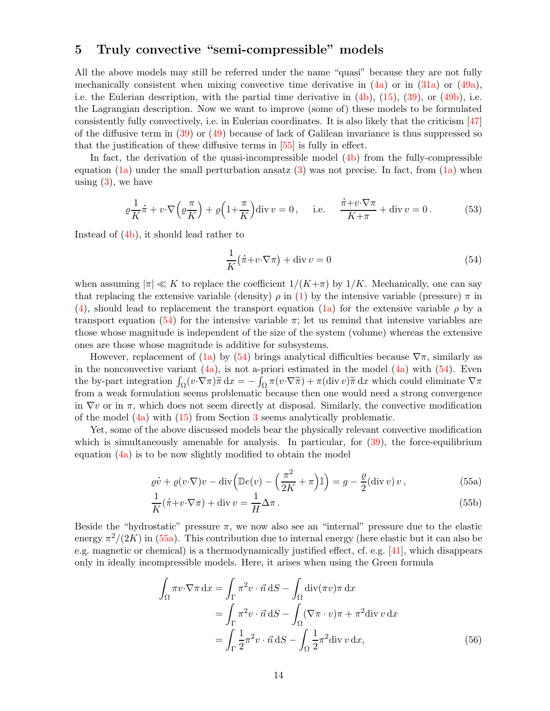## <span id="page-13-0"></span>5 Truly convective "semi-compressible" models

All the above models may still be referred under the name "quasi" because they are not fully mechanically consistent when mixing convective time derivative in  $(4a)$  or in  $(31a)$  or  $(49a)$ , i.e. the Eulerian description, with the partial time derivative in  $(4b)$ ,  $(15)$ ,  $(39)$ , or  $(49b)$ , i.e. the Lagrangian description. Now we want to improve (some of) these models to be formulated consistently fully convectively, i.e. in Eulerian coordinates. It is also likely that the criticism [\[47\]](#page-21-18) of the diffusive term in  $(39)$  or  $(49)$  because of lack of Galilean invariance is thus suppressed so that the justification of these diffusive terms in [\[55\]](#page-21-17) is fully in effect.

In fact, the derivation of the quasi-incompressible model  $(4b)$  from the fully-compressible equation [\(1a\)](#page-1-1) under the small perturbation ansatz  $(3)$  was not precise. In fact, from (1a) when using  $(3)$ , we have

$$
\varrho \frac{1}{K} \dot{\pi} + v \cdot \nabla \left( \varrho \frac{\pi}{K} \right) + \varrho \left( 1 + \frac{\pi}{K} \right) \operatorname{div} v = 0, \quad \text{i.e.} \quad \frac{\dot{\pi} + v \cdot \nabla \pi}{K + \pi} + \operatorname{div} v = 0. \tag{53}
$$

Instead of [\(4b\)](#page-2-3), it should lead rather to

<span id="page-13-5"></span><span id="page-13-1"></span>
$$
\frac{1}{K}(\dot{\pi} + v \cdot \nabla \pi) + \text{div}\,v = 0\tag{54}
$$

when assuming  $|\pi| \ll K$  to replace the coefficient  $1/(K+\pi)$  by  $1/K$ . Mechanically, one can say that replacing the extensive variable (density)  $\rho$  in [\(1\)](#page-1-4) by the intensive variable (pressure)  $\pi$  in [\(4\)](#page-2-0), should lead to replacement the transport equation [\(1a\)](#page-1-1) for the extensive variable  $\rho$  by a transport equation [\(54\)](#page-13-1) for the intensive variable  $\pi$ ; let us remind that intensive variables are those whose magnitude is independent of the size of the system (volume) whereas the extensive ones are those whose magnitude is additive for subsystems.

However, replacement of [\(1a\)](#page-1-1) by [\(54\)](#page-13-1) brings analytical difficulties because  $\nabla \pi$ , similarly as in the nonconvective variant  $(4a)$ , is not a-priori estimated in the model  $(4a)$  with  $(54)$ . Even the by-part integration  $\int_{\Omega} (v \cdot \nabla \pi) \tilde{\pi} \,dx = -\int_{\Omega} \pi (v \cdot \nabla \tilde{\pi}) + \pi (\text{div } v) \tilde{\pi} \,dx$  which could eliminate  $\nabla \pi$ from a weak formulation seems problematic because then one would need a strong convergence in  $\nabla v$  or in  $\pi$ , which does not seem directly at disposal. Similarly, the convective modification of the model [\(4a\)](#page-2-1) with [\(15\)](#page-4-4) from Section [3](#page-4-0) seems analytically problematic.

Yet, some of the above discussed models bear the physically relevant convective modification which is simultaneously amenable for analysis. In particular, for  $(39)$ , the force-equilibrium equation  $(4a)$  is to be now slightly modified to obtain the model

<span id="page-13-3"></span>
$$
\varrho \dot{v} + \varrho (v \cdot \nabla) v - \operatorname{div} \left( \mathbb{D}e(v) - \left( \frac{\pi^2}{2K} + \pi \right) \mathbb{I} \right) = g - \frac{\varrho}{2} (\operatorname{div} v) v , \qquad (55a)
$$

<span id="page-13-4"></span><span id="page-13-2"></span>
$$
\frac{1}{K}(\dot{\pi} + v \cdot \nabla \pi) + \text{div}\,v = \frac{1}{H}\Delta\pi.
$$
\n(55b)

Beside the "hydrostatic" pressure  $\pi$ , we now also see an "internal" pressure due to the elastic energy  $\pi^2/(2K)$  in [\(55a\)](#page-13-2). This contribution due to internal energy (here elastic but it can also be e.g. magnetic or chemical) is a thermodynamically justified effect, cf. e.g. [\[41\]](#page-21-23), which disappears only in ideally incompressible models. Here, it arises when using the Green formula

$$
\int_{\Omega} \pi v \cdot \nabla \pi \, dx = \int_{\Gamma} \pi^2 v \cdot \vec{n} \, dS - \int_{\Omega} \text{div}(\pi v) \pi \, dx
$$

$$
= \int_{\Gamma} \pi^2 v \cdot \vec{n} \, dS - \int_{\Omega} (\nabla \pi \cdot v) \pi + \pi^2 \text{div} \, v \, dx
$$

$$
= \int_{\Gamma} \frac{1}{2} \pi^2 v \cdot \vec{n} \, dS - \int_{\Omega} \frac{1}{2} \pi^2 \text{div} \, v \, dx,
$$
(56)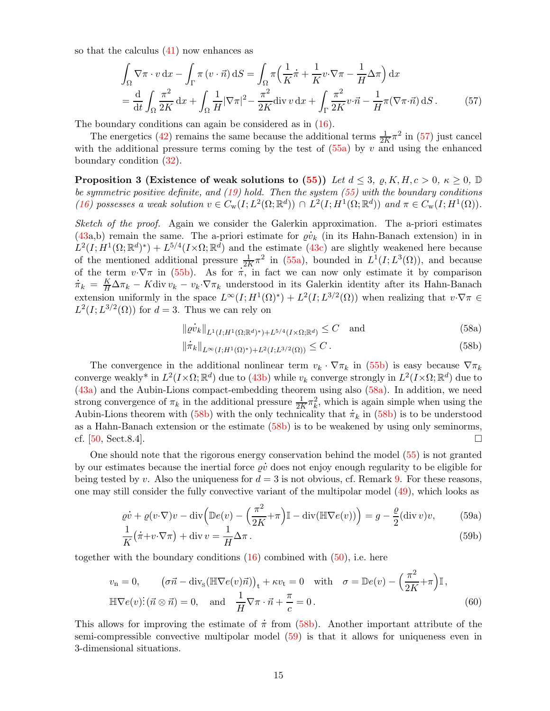so that the calculus [\(41\)](#page-10-2) now enhances as

<span id="page-14-0"></span>
$$
\int_{\Omega} \nabla \pi \cdot v \, dx - \int_{\Gamma} \pi \left( v \cdot \vec{n} \right) dS = \int_{\Omega} \pi \left( \frac{1}{K} \dot{\pi} + \frac{1}{K} v \cdot \nabla \pi - \frac{1}{H} \Delta \pi \right) dx
$$
\n
$$
= \frac{d}{dt} \int_{\Omega} \frac{\pi^2}{2K} dx + \int_{\Omega} \frac{1}{H} |\nabla \pi|^2 - \frac{\pi^2}{2K} \operatorname{div} v \, dx + \int_{\Gamma} \frac{\pi^2}{2K} v \cdot \vec{n} - \frac{1}{H} \pi (\nabla \pi \cdot \vec{n}) dS. \tag{57}
$$

The boundary conditions can again be considered as in [\(16\)](#page-4-5).

The energetics [\(42\)](#page-11-0) remains the same because the additional terms  $\frac{1}{2K}\pi^2$  in [\(57\)](#page-14-0) just cancel with the additional pressure terms coming by the test of  $(55a)$  by v and using the enhanced boundary condition [\(32\)](#page-8-1).

**Proposition 3 (Existence of weak solutions to [\(55\)](#page-13-3))** Let  $d \leq 3$ ,  $\varrho, K, H, c > 0, \kappa \geq 0, \mathbb{D}$ be symmetric positive definite, and  $(19)$  hold. Then the system  $(55)$  with the boundary conditions [\(16\)](#page-4-5) possesses a weak solution  $v \in C_w(I; L^2(\Omega; \mathbb{R}^d)) \cap L^2(I; H^1(\Omega; \mathbb{R}^d))$  and  $\pi \in C_w(I; H^1(\Omega))$ .

Sketch of the proof. Again we consider the Galerkin approximation. The a-priori estimates  $(43a,b)$  $(43a,b)$  remain the same. The a-priori estimate for  $\rho v_k$  (in its Hahn-Banach extension) in in  $L^2(I; H^1(\Omega;\mathbb{R}^d)^*) + L^{5/4}(I \times \Omega;\mathbb{R}^d)$  and the estimate [\(43c\)](#page-11-6) are slightly weakened here because of the mentioned additional pressure  $\frac{1}{2K}\pi^2$  in [\(55a\)](#page-13-2), bounded in  $L^1(I;L^3(\Omega))$ , and because<br>of the term  $v \cdot \nabla \pi$  in [\(55b\)](#page-13-4). As for  $\pi$ , in fact we can now only estimate it by comparison of the term  $v \cdot \nabla \pi$  in (55b). As for  $\pi$ , in fact we can now only estimate it by comparison  $\dot{\pi}_k = \frac{K}{H} \Delta \pi_k - K \text{div} \, v_k - v_k \cdot \nabla \pi_k$  understood in its Galerkin identity after its Hahn-Banach extension uniformly in the space  $L^{\infty}(I; H^1(\Omega)^*) + L^2(I; L^{3/2}(\Omega))$  when realizing that  $v \cdot \nabla \pi \in$  $L^2(I; L^{3/2}(\Omega))$  for  $d = 3$ . Thus we can rely on

<span id="page-14-1"></span>
$$
\|\varrho \dot{v}_k\|_{L^1(I;H^1(\Omega;\mathbb{R}^d)^*)+L^{5/4}(I\times\Omega;\mathbb{R}^d)} \le C \quad \text{and} \tag{58a}
$$
\n
$$
\|\dot{\pi}_k\|_{C^1(I;H^1(\Omega;\mathbb{R}^d)^*)+L^{5/4}(I\times\Omega;\mathbb{R}^d)} \le C \tag{58b}
$$

<span id="page-14-6"></span><span id="page-14-5"></span><span id="page-14-3"></span><span id="page-14-2"></span>
$$
\|\dot{\pi}_k\|_{L^{\infty}(I;H^1(\Omega)^*)+L^2(I;L^{3/2}(\Omega))} \leq C.
$$
\n(58b)

The convergence in the additional nonlinear term  $v_k \cdot \nabla \pi_k$  in [\(55b\)](#page-13-4) is easy because  $\nabla \pi_k$ converge weakly\* in  $L^2(I \times \Omega; \mathbb{R}^d)$  due to [\(43b\)](#page-11-7) while  $v_k$  converge strongly in  $L^2(I \times \Omega; \mathbb{R}^d)$  due to [\(43a\)](#page-11-1) and the Aubin-Lions compact-embedding theorem using also [\(58a\)](#page-14-1). In addition, we need strong convergence of  $\pi_k$  in the additional pressure  $\frac{1}{2K}\pi_k^2$ , which is again simple when using the Aubin-Lions theorem with [\(58b\)](#page-14-2) with the only technicality that  $\dot{\pi}_k$  in (58b) is to be understood Aubin-Lions theorem with [\(58b\)](#page-14-2) with the only technicality that  $\dot{\pi}_k$  in (58b) is to be understood as a Hahn-Banach extension or the estimate [\(58b\)](#page-14-2) is to be weakened by using only seminorms, cf. [\[50,](#page-21-9) Sect.8.4].

One should note that the rigorous energy conservation behind the model [\(55\)](#page-13-3) is not granted . by our estimates because the inertial force  $\varrho\dot{v}$  does not enjoy enough regularity to be eligible for being tested by v. Also the uniqueness for  $d = 3$  is not obvious, cf. Remark [9.](#page-18-1) For these reasons, one may still consider the fully convective variant of the multipolar model [\(49\)](#page-12-5), which looks as

$$
\varrho \dot{v} + \varrho (v \cdot \nabla) v - \operatorname{div} \left( \mathbb{D}e(v) - \left( \frac{\pi^2}{2K} + \pi \right) \mathbb{I} - \operatorname{div}(\mathbb{H} \nabla e(v)) \right) = g - \frac{\varrho}{2} (\operatorname{div} v) v, \tag{59a}
$$

<span id="page-14-4"></span>
$$
\frac{1}{K}(\dot{\pi} + v \cdot \nabla \pi) + \text{div}\,v = \frac{1}{H}\Delta \pi.
$$
\n(59b)

together with the boundary conditions  $(16)$  combined with  $(50)$ , i.e. here

$$
v_{\rm n} = 0, \qquad (\sigma \vec{n} - \text{div}_{\rm s}(\mathbb{H} \nabla e(v)\vec{n}))_{\rm t} + \kappa v_{\rm t} = 0 \quad \text{with} \quad \sigma = \mathbb{D}e(v) - \left(\frac{\pi^2}{2K} + \pi\right)\mathbb{I},
$$
  

$$
\mathbb{H} \nabla e(v) : (\vec{n} \otimes \vec{n}) = 0, \quad \text{and} \quad \frac{1}{H} \nabla \pi \cdot \vec{n} + \frac{\pi}{c} = 0.
$$
 (60)

This allows for improving the estimate of  $\dot{\pi}$  from [\(58b\)](#page-14-2). Another important attribute of the semi-compressible convective multipolar model [\(59\)](#page-14-3) is that it allows for uniqueness even in 3-dimensional situations.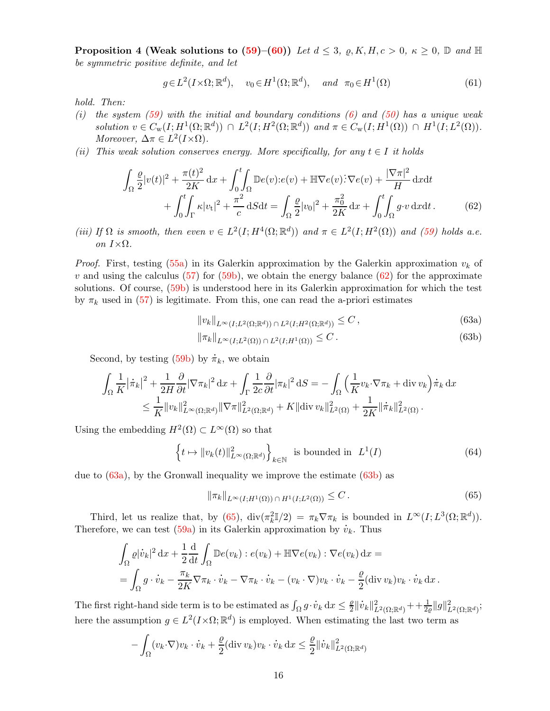**Proposition 4 (Weak solutions to [\(59\)](#page-14-3)–[\(60\)](#page-14-4))** Let  $d \leq 3$ ,  $\varrho$ , K, H,  $c > 0$ ,  $\kappa \geq 0$ ,  $\mathbb{D}$  and  $\mathbb{H}$ be symmetric positive definite, and let

$$
g \in L^2(I \times \Omega; \mathbb{R}^d), \quad v_0 \in H^1(\Omega; \mathbb{R}^d), \quad \text{and} \quad \pi_0 \in H^1(\Omega)
$$
 (61)

hold. Then:

- (i) the system  $(59)$  with the initial and boundary conditions  $(6)$  and  $(50)$  has a unique weak solution  $v \in C_{\rm w}(I; H^1(\Omega;\mathbb{R}^d)) \cap L^2(I; H^2(\Omega;\mathbb{R}^d))$  and  $\pi \in C_{\rm w}(I; H^1(\Omega)) \cap H^1(I; L^2(\Omega)).$ Moreover,  $\Delta \pi \in L^2(I \times \Omega)$ .
- (ii) This weak solution conserves energy. More specifically, for any  $t \in I$  it holds

$$
\int_{\Omega} \frac{\varrho}{2} |v(t)|^2 + \frac{\pi(t)^2}{2K} dx + \int_0^t \int_{\Omega} \mathbb{D}e(v) \cdot e(v) + \mathbb{H} \nabla e(v) \cdot \nabla e(v) + \frac{|\nabla \pi|^2}{H} dx dt + \int_0^t \int_{\Gamma} \kappa |v_t|^2 + \frac{\pi^2}{c} dS dt = \int_{\Omega} \frac{\varrho}{2} |v_0|^2 + \frac{\pi^2}{2K} dx + \int_0^t \int_{\Omega} g \cdot v dx dt.
$$
 (62)

(iii) If  $\Omega$  is smooth, then even  $v \in L^2(I; H^4(\Omega; \mathbb{R}^d))$  and  $\pi \in L^2(I; H^2(\Omega))$  and [\(59\)](#page-14-3) holds a.e. on  $I \times Ω$ .

*Proof.* First, testing [\(55a\)](#page-13-2) in its Galerkin approximation by the Galerkin approximation  $v_k$  of v and using the calculus  $(57)$  for  $(59b)$ , we obtain the energy balance  $(62)$  for the approximate solutions. Of course, [\(59b\)](#page-14-5) is understood here in its Galerkin approximation for which the test by  $\pi_k$  used in [\(57\)](#page-14-0) is legitimate. From this, one can read the a-priori estimates

<span id="page-15-0"></span>
$$
||v_k||_{L^{\infty}(I;L^2(\Omega;\mathbb{R}^d)) \cap L^2(I;H^2(\Omega;\mathbb{R}^d))} \leq C ,
$$
\n(63a)

<span id="page-15-5"></span><span id="page-15-2"></span><span id="page-15-1"></span>
$$
\|\pi_k\|_{L^{\infty}(I;L^2(\Omega))\,\cap\,L^2(I;H^1(\Omega))}\leq C\,.
$$
\n(63b)

Second, by testing [\(59b\)](#page-14-5) by  $\dot{\pi}_k$ , we obtain

$$
\int_{\Omega} \frac{1}{K} |\dot{\pi}_k|^2 + \frac{1}{2H} \frac{\partial}{\partial t} |\nabla \pi_k|^2 \, \mathrm{d}x + \int_{\Gamma} \frac{1}{2c} \frac{\partial}{\partial t} |\pi_k|^2 \, \mathrm{d}S = -\int_{\Omega} \left( \frac{1}{K} v_k \cdot \nabla \pi_k + \mathrm{div} \, v_k \right) \dot{\pi}_k \, \mathrm{d}x
$$
  

$$
\leq \frac{1}{K} ||v_k||_{L^{\infty}(\Omega; \mathbb{R}^d)}^2 ||\nabla \pi||_{L^2(\Omega; \mathbb{R}^d)}^2 + K ||\mathrm{div} \, v_k||_{L^2(\Omega)}^2 + \frac{1}{2K} ||\dot{\pi}_k||_{L^2(\Omega)}^2.
$$

Using the embedding  $H^2(\Omega) \subset L^{\infty}(\Omega)$  so that

$$
\left\{ t \mapsto ||v_k(t)||_{L^{\infty}(\Omega; \mathbb{R}^d)}^2 \right\}_{k \in \mathbb{N}} \text{ is bounded in } L^1(I) \tag{64}
$$

due to [\(63a\)](#page-15-1), by the Gronwall inequality we improve the estimate [\(63b\)](#page-15-2) as

<span id="page-15-4"></span><span id="page-15-3"></span>
$$
\|\pi_k\|_{L^{\infty}(I;H^1(\Omega)) \cap H^1(I;L^2(\Omega))} \leq C.
$$
\n(65)

Third, let us realize that, by [\(65\)](#page-15-3),  $\text{div}(\pi_k^2 \mathbb{I}/2) = \pi_k \nabla \pi_k$  is bounded in  $L^{\infty}(I; L^3(\Omega; \mathbb{R}^d))$ . Third, let us realize that, by (65),  $\text{div}(\pi_k^2 \mathbb{I}/2) = \pi_k \nabla \pi_k$  is bounder Therefore, we can test [\(59a\)](#page-14-6) in its Galerkin approximation by  $\dot{v}_k$ . Thus

$$
\int_{\Omega} \varrho |\dot{v}_k|^2 \, \mathrm{d}x + \frac{1}{2} \frac{\mathrm{d}}{\mathrm{d}t} \int_{\Omega} \mathbb{D}e(v_k) : e(v_k) + \mathbb{H} \nabla e(v_k) : \nabla e(v_k) \, \mathrm{d}x =
$$
\n
$$
= \int_{\Omega} g \cdot \dot{v}_k - \frac{\pi_k}{2K} \nabla \pi_k \cdot \dot{v}_k - \nabla \pi_k \cdot \dot{v}_k - (v_k \cdot \nabla) v_k \cdot \dot{v}_k - \frac{\varrho}{2} (\text{div } v_k) v_k \cdot \dot{v}_k \, \mathrm{d}x.
$$

The first right-hand side term is to be estimated as  $\int_{\Omega} g \cdot$  $\dot{v}_k \, dx \leq \frac{\varrho}{2}$  $\frac{1}{2}$   $\parallel$  $\dot{v}_k\|_{L^2(\Omega;\mathbb{R}^d)}^2 + + \frac{1}{2\varrho} \|g\|_{L^2(\Omega;\mathbb{R}^d)}^2;$ here the assumption  $g \in L^2(I \times \Omega; \mathbb{R}^d)$  is employed. When estimating the last two term as

$$
- \int_{\Omega} (v_k \cdot \nabla) v_k \cdot \dot{v}_k + \frac{\varrho}{2} (\text{div } v_k) v_k \cdot \dot{v}_k \, dx \leq \frac{\varrho}{2} ||\dot{v}_k||^2_{L^2(\Omega; \mathbb{R}^d)}
$$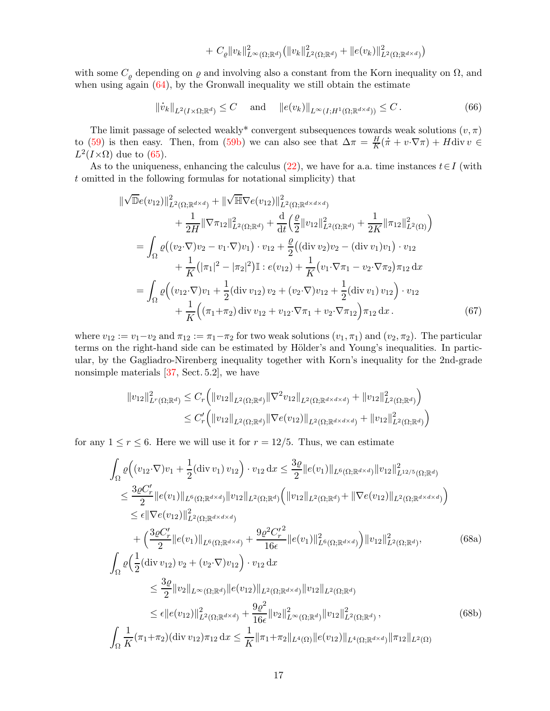<span id="page-16-2"></span>+ 
$$
C_{\varrho} ||v_k||^2_{L^{\infty}(\Omega; \mathbb{R}^d)} (||v_k||^2_{L^2(\Omega; \mathbb{R}^d)} + ||e(v_k)||^2_{L^2(\Omega; \mathbb{R}^{d \times d})})
$$

with some  $C_{\rho}$  depending on  $\varrho$  and involving also a constant from the Korn inequality on  $\Omega$ , and when using again  $(64)$ , by the Gronwall inequality we still obtain the estimate

$$
\|\dot{v}_k\|_{L^2(I\times\Omega;\mathbb{R}^d)} \leq C \quad \text{ and } \quad \|e(v_k)\|_{L^\infty(I;H^1(\Omega;\mathbb{R}^{d\times d}))} \leq C. \tag{66}
$$

The limit passage of selected weakly<sup>\*</sup> convergent subsequences towards weak solutions  $(v, \pi)$ to [\(59\)](#page-14-3) is then easy. Then, from [\(59b\)](#page-14-5) we can also see that  $\Delta \pi = \frac{H}{K}$  $\frac{H}{K}(\dot{\pi} + v \cdot \nabla \pi) + H \operatorname{div} v \in$  $L^2(I \times \Omega)$  due to [\(65\)](#page-15-3).

As to the uniqueness, enhancing the calculus [\(22\)](#page-6-1), we have for a.a. time instances  $t \in I$  (with t omitted in the following formulas for notational simplicity) that

$$
\begin{split}\n\|\sqrt{\mathbb{D}}e(v_{12})\|_{L^{2}(\Omega;\mathbb{R}^{d\times d})}^{2} + \|\sqrt{\mathbb{H}}\nabla e(v_{12})\|_{L^{2}(\Omega;\mathbb{R}^{d\times d\times d})}^{2} \\
&+ \frac{1}{2H}\|\nabla\pi_{12}\|_{L^{2}(\Omega;\mathbb{R}^{d})}^{2} + \frac{\mathrm{d}}{\mathrm{d}t}\left(\frac{\varrho}{2}\|v_{12}\|_{L^{2}(\Omega;\mathbb{R}^{d})}^{2} + \frac{1}{2K}\|\pi_{12}\|_{L^{2}(\Omega)}^{2}\right) \\
&= \int_{\Omega}\varrho\big((v_{2}\cdot\nabla)v_{2} - v_{1}\cdot\nabla)v_{1}\big)\cdot v_{12} + \frac{\varrho}{2}\big((\text{div }v_{2})v_{2} - (\text{div }v_{1})v_{1}\big)\cdot v_{12} \\
&+ \frac{1}{K}\big(|\pi_{1}|^{2} - |\pi_{2}|^{2}\big)\mathbb{I}: e(v_{12}) + \frac{1}{K}\big(v_{1}\cdot\nabla\pi_{1} - v_{2}\cdot\nabla\pi_{2}\big)\pi_{12}\,\mathrm{d}x \\
&= \int_{\Omega}\varrho\big((v_{12}\cdot\nabla)v_{1} + \frac{1}{2}(\text{div }v_{12})v_{2} + (v_{2}\cdot\nabla)v_{12} + \frac{1}{2}(\text{div }v_{1})v_{12}\big)\cdot v_{12} \\
&+ \frac{1}{K}\big((\pi_{1}+\pi_{2})\,\mathrm{div}\,v_{12} + v_{12}\cdot\nabla\pi_{1} + v_{2}\cdot\nabla\pi_{12}\big)\pi_{12}\,\mathrm{d}x\,. \end{split} \tag{67}
$$

where  $v_{12} := v_1 - v_2$  and  $\pi_{12} := \pi_1 - \pi_2$  for two weak solutions  $(v_1, \pi_1)$  and  $(v_2, \pi_2)$ . The particular terms on the right-hand side can be estimated by Hölder's and Young's inequalities. In particular, by the Gagliadro-Nirenberg inequality together with Korn's inequality for the 2nd-grade nonsimple materials [\[37,](#page-21-10) Sect. 5.2], we have

<span id="page-16-1"></span><span id="page-16-0"></span>
$$
\|v_{12}\|_{L^{r}(\Omega;\mathbb{R}^{d})}^{2} \leq C_{r} \Big( \|v_{12}\|_{L^{2}(\Omega;\mathbb{R}^{d})} \|\nabla^{2}v_{12}\|_{L^{2}(\Omega;\mathbb{R}^{d\times d\times d})} + \|v_{12}\|_{L^{2}(\Omega;\mathbb{R}^{d})}^{2} \Big)
$$
  

$$
\leq C_{r}' \Big( \|v_{12}\|_{L^{2}(\Omega;\mathbb{R}^{d})} \|\nabla e(v_{12})\|_{L^{2}(\Omega;\mathbb{R}^{d\times d\times d})} + \|v_{12}\|_{L^{2}(\Omega;\mathbb{R}^{d})}^{2} \Big)
$$

for any  $1 \le r \le 6$ . Here we will use it for  $r = 12/5$ . Thus, we can estimate

$$
\int_{\Omega} \varrho \Big( (v_{12} \cdot \nabla) v_{1} + \frac{1}{2} (\text{div } v_{1}) v_{12} \Big) \cdot v_{12} \, dx \leq \frac{3\varrho}{2} \|e(v_{1})\|_{L^{6}(\Omega; \mathbb{R}^{d \times d})} \|v_{12}\|_{L^{12/5}(\Omega; \mathbb{R}^{d})}^{2}
$$
\n
$$
\leq \frac{3\varrho C'_{r}}{2} \|e(v_{1})\|_{L^{6}(\Omega; \mathbb{R}^{d \times d})} \|v_{12}\|_{L^{2}(\Omega; \mathbb{R}^{d})} \Big( \|v_{12}\|_{L^{2}(\Omega; \mathbb{R}^{d})} + \|\nabla e(v_{12})\|_{L^{2}(\Omega; \mathbb{R}^{d \times d \times d})} \Big)
$$
\n
$$
\leq \epsilon \|\nabla e(v_{12})\|_{L^{2}(\Omega; \mathbb{R}^{d \times d \times d})}^{2}
$$
\n
$$
+ \left( \frac{3\varrho C'_{r}}{2} \|e(v_{1})\|_{L^{6}(\Omega; \mathbb{R}^{d \times d})} + \frac{9\varrho^{2} C'_{r}}{16\epsilon} \|e(v_{1})\|_{L^{6}(\Omega; \mathbb{R}^{d \times d})}^{2} \right) \|v_{12}\|_{L^{2}(\Omega; \mathbb{R}^{d})}^{2}, \qquad (68a)
$$
\n
$$
\int_{\Omega} \varrho \Big( \frac{1}{2} (\text{div } v_{12}) v_{2} + (v_{2} \cdot \nabla) v_{12} \Big) \cdot v_{12} \, dx
$$
\n
$$
\leq \frac{3\varrho}{2} \|v_{2}\|_{L^{\infty}(\Omega; \mathbb{R}^{d})} \|e(v_{12})\|_{L^{2}(\Omega; \mathbb{R}^{d \times d})}^{2} \|v_{12}\|_{L^{2}(\Omega; \mathbb{R}^{d})}^{2}
$$
\n
$$
\leq \epsilon \|e(v_{12})\|_{L^{2}(\Omega; \mathbb{R}^{d \times d})}^{2} + \frac{9\varrho^{2}}{16\epsilon} \|v_{2}\|_{L^{\infty}(\Omega; \mathbb{R}^{d})}^{
$$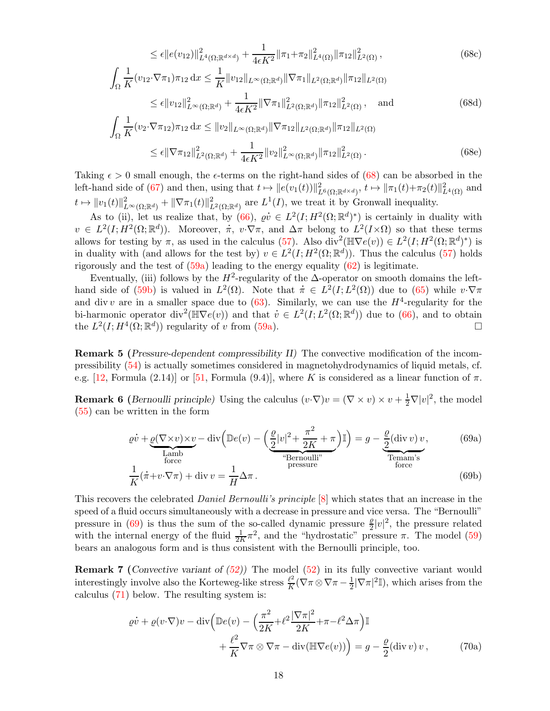$$
\leq \epsilon \|e(v_{12})\|_{L^{4}(\Omega;\mathbb{R}^{d\times d})}^{2} + \frac{1}{4\epsilon K^{2}} \|\pi_{1}+\pi_{2}\|_{L^{4}(\Omega)}^{2} \|\pi_{12}\|_{L^{2}(\Omega)}^{2}, \tag{68c}
$$

$$
\int_{\Omega} \frac{1}{K} (v_{12} \cdot \nabla \pi_1) \pi_{12} \, dx \le \frac{1}{K} \|v_{12}\|_{L^{\infty}(\Omega; \mathbb{R}^d)} \|\nabla \pi_1\|_{L^2(\Omega; \mathbb{R}^d)} \|\pi_{12}\|_{L^2(\Omega)} \n\le \epsilon \|v_{12}\|_{L^{\infty}(\Omega; \mathbb{R}^d)}^2 + \frac{1}{4\epsilon K^2} \|\nabla \pi_1\|_{L^2(\Omega; \mathbb{R}^d)}^2 \|\pi_{12}\|_{L^2(\Omega)}^2, \text{ and}
$$
\n(68d)

$$
\int_{\Omega} \frac{1}{K} (v_2 \cdot \nabla \pi_{12}) \pi_{12} \, dx \leq \|v_2\|_{L^{\infty}(\Omega; \mathbb{R}^d)} \|\nabla \pi_{12}\|_{L^2(\Omega; \mathbb{R}^d)} \|\pi_{12}\|_{L^2(\Omega)} \n\leq \epsilon \|\nabla \pi_{12}\|_{L^2(\Omega; \mathbb{R}^d)}^2 + \frac{1}{4\epsilon K^2} \|v_2\|_{L^{\infty}(\Omega; \mathbb{R}^d)}^2 \|\pi_{12}\|_{L^2(\Omega)}^2.
$$
\n(68e)

Taking  $\epsilon > 0$  small enough, the  $\epsilon$ -terms on the right-hand sides of [\(68\)](#page-16-1) can be absorbed in the left-hand side of [\(67\)](#page-16-0) and then, using that  $t \mapsto ||e(v_1(t))||^2_{L^6(\Omega;\mathbb{R}^{d\times d})}$ ,  $t \mapsto ||\pi_1(t)+\pi_2(t)||^2_{L^4(\Omega)}$  and  $t \mapsto ||v_1(t)||_{L^{\infty}(\Omega;\mathbb{R}^d)}^2 + ||\nabla \pi_1(t)||_{L^2(\Omega;\mathbb{R}^d)}^2$  are  $L^1(I)$ , we treat it by Gronwall inequality.

As to (ii), let us realize that, by [\(66\)](#page-16-2),  $\varrho v \in L^2(I; H^2(\Omega;\mathbb{R}^d)^*)$  is certainly in duality with As to (ii), let us realize that, by (66),  $\varrho v \in L^2(I; H^2(\Omega; \mathbb{R}^d)^*)$  is certainly in duality with  $v \in L^2(I; H^2(\Omega; \mathbb{R}^d))$ . Moreover,  $\pi$ ,  $v \cdot \nabla \pi$ , and  $\Delta \pi$  belong to  $L^2(I \times \Omega)$  so that these terms allows for testing by  $\pi$ , as used in the calculus [\(57\)](#page-14-0). Also div<sup>2</sup>( $\mathbb{H}\nabla e(v)$ )  $\in L^2(I; H^2(\Omega;\mathbb{R}^d)^*)$  is in duality with (and allows for the test by)  $v \in L^2(I; H^2(\Omega;\mathbb{R}^d))$ . Thus the calculus [\(57\)](#page-14-0) holds rigorously and the test of  $(59a)$  leading to the energy equality  $(62)$  is legitimate.

Eventually, (iii) follows by the  $H^2$ -regularity of the  $\Delta$ -operator on smooth domains the left-Eventually, (iii) follows by the  $H^2$ -regularity of the  $\Delta$ -operator on smooth domains the left-<br>hand side of [\(59b\)](#page-14-5) is valued in  $L^2(\Omega)$ . Note that  $\dot{\pi} \in L^2(I; L^2(\Omega))$  due to [\(65\)](#page-15-3) while  $v \cdot \nabla \pi$ and div v are in a smaller space due to  $(63)$ . Similarly, we can use the  $H^4$ -regularity for the and div v are in a smaller space due to (63). Similarly, we can use the  $H^4$ -regularity for the bi-harmonic operator div<sup>2</sup>( $\mathbb{H} \nabla e(v)$ ) and that  $v \in L^2(I; L^2(\Omega; \mathbb{R}^d))$  due to [\(66\)](#page-16-2), and to obtain the  $L^2(I; H^4(\Omega;\mathbb{R}^d))$  regularity of v from [\(59a\)](#page-14-6).

<span id="page-17-3"></span>Remark 5 (Pressure-dependent compressibility II) The convective modification of the incompressibility [\(54\)](#page-13-1) is actually sometimes considered in magnetohydrodynamics of liquid metals, cf. e.g. [\[12,](#page-20-19) Formula (2.14)] or [\[51,](#page-21-24) Formula (9.4)], where K is considered as a linear function of  $\pi$ .

**Remark 6** (*Bernoulli principle*) Using the calculus  $(v \cdot \nabla)v = (\nabla \times v) \times v + \frac{1}{2}\nabla |v|^2$ , the model [\(55\)](#page-13-3) can be written in the form

<span id="page-17-1"></span><span id="page-17-0"></span>
$$
\varrho \dot{v} + \underbrace{\varrho(\nabla \times v) \times v}_{\text{Lamb}} - \text{div} \left( \mathbb{D}e(v) - \left( \underbrace{\frac{\varrho}{2} |v|^2 + \frac{\pi^2}{2K} + \pi}_{\text{Sernoulli"}} \right) \mathbb{I} \right) = g - \underbrace{\frac{\varrho}{2} (\text{div } v) v}_{\text{Teman's}} ,\tag{69a}
$$
\n
$$
\frac{1}{2} (\dot{\pi} + v \cdot \nabla \pi) + \text{div } v = \frac{1}{2} \Delta \pi
$$
\n
$$
(69b)
$$

$$
\frac{1}{K}(\dot{\pi} + v \cdot \nabla \pi) + \text{div } v = \frac{1}{H} \Delta \pi.
$$
\n(69b)

This recovers the celebrated *Daniel Bernoulli's principle* [\[8\]](#page-20-20) which states that an increase in the speed of a fluid occurs simultaneously with a decrease in pressure and vice versa. The "Bernoulli" pressure in [\(69\)](#page-17-1) is thus the sum of the so-called dynamic pressure  $\frac{\rho}{2}|v|^2$ , the pressure related with the internal energy of the fluid  $\frac{1}{2K}\pi^2$ , and the "hydrostatic" pressure  $\pi$ . The model [\(59\)](#page-14-3) bears an analogous form and is thus consistent with the Bernoulli principle, too.

**Remark 7** (Convective variant of  $(52)$ ) The model  $(52)$  in its fully convective variant would interestingly involve also the Korteweg-like stress  $\frac{\ell^2}{K}$  $\frac{\ell^2}{K}(\nabla \pi \otimes \nabla \pi - \frac{1}{2}|\nabla \pi|^2 \mathbb{I}),$  which arises from the calculus [\(71\)](#page-18-2) below. The resulting system is:

<span id="page-17-2"></span>
$$
\rho \dot{v} + \varrho (v \cdot \nabla) v - \text{div} \left( \mathbb{D}e(v) - \left( \frac{\pi^2}{2K} + \ell^2 \frac{|\nabla \pi|^2}{2K} + \pi - \ell^2 \Delta \pi \right) \mathbb{I} + \frac{\ell^2}{K} \nabla \pi \otimes \nabla \pi - \text{div} (\mathbb{H} \nabla e(v)) \right) = g - \frac{\varrho}{2} (\text{div } v) v , \qquad (70a)
$$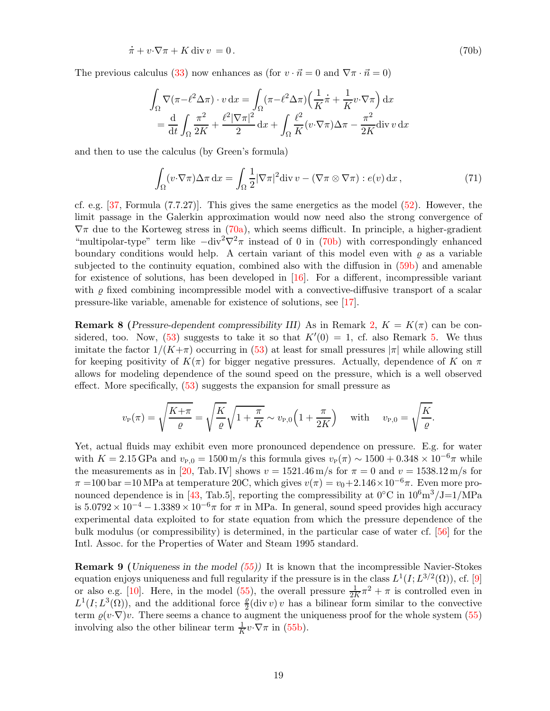$$
\dot{\pi} + v \cdot \nabla \pi + K \operatorname{div} v = 0. \tag{70b}
$$

The previous calculus [\(33\)](#page-9-5) now enhances as (for  $v \cdot \vec{n} = 0$  and  $\nabla \pi \cdot \vec{n} = 0$ )

<span id="page-18-3"></span>
$$
\int_{\Omega} \nabla(\pi - \ell^2 \Delta \pi) \cdot v \, dx = \int_{\Omega} (\pi - \ell^2 \Delta \pi) \left( \frac{1}{K} \dot{\pi} + \frac{1}{K} v \cdot \nabla \pi \right) dx
$$

$$
= \frac{d}{dt} \int_{\Omega} \frac{\pi^2}{2K} + \frac{\ell^2 |\nabla \pi|^2}{2} dx + \int_{\Omega} \frac{\ell^2}{K} (v \cdot \nabla \pi) \Delta \pi - \frac{\pi^2}{2K} \text{div } v \, dx
$$

and then to use the calculus (by Green's formula)

<span id="page-18-2"></span>
$$
\int_{\Omega} (v \cdot \nabla \pi) \Delta \pi \, dx = \int_{\Omega} \frac{1}{2} |\nabla \pi|^2 \text{div} \, v - (\nabla \pi \otimes \nabla \pi) : e(v) \, dx,
$$
\n(71)

cf. e.g.  $[37,$  Formula  $(7.7.27)$ . This gives the same energetics as the model  $(52)$ . However, the limit passage in the Galerkin approximation would now need also the strong convergence of  $\nabla \pi$  due to the Korteweg stress in [\(70a\)](#page-17-2), which seems difficult. In principle, a higher-gradient "multipolar-type" term like  $-\text{div}^2 \nabla^2 \pi$  instead of 0 in [\(70b\)](#page-18-3) with correspondingly enhanced boundary conditions would help. A certain variant of this model even with  $\rho$  as a variable subjected to the continuity equation, combined also with the diffusion in  $(59b)$  and amenable for existence of solutions, has been developed in [\[16\]](#page-20-21). For a different, incompressible variant with  $\varrho$  fixed combining incompressible model with a convective-diffusive transport of a scalar pressure-like variable, amenable for existence of solutions, see [\[17\]](#page-20-22).

<span id="page-18-0"></span>**Remark 8** (Pressure-dependent compressibility III) As in Remark [2,](#page-9-0)  $K = K(\pi)$  can be con-sidered, too. Now, [\(53\)](#page-13-5) suggests to take it so that  $K'(0) = 1$ , cf. also Remark [5.](#page-17-3) We thus imitate the factor  $1/(K+\pi)$  occurring in [\(53\)](#page-13-5) at least for small pressures  $|\pi|$  while allowing still for keeping positivity of  $K(\pi)$  for bigger negative pressures. Actually, dependence of K on  $\pi$ allows for modeling dependence of the sound speed on the pressure, which is a well observed effect. More specifically, [\(53\)](#page-13-5) suggests the expansion for small pressure as

$$
v_{\rm P}(\pi) = \sqrt{\frac{K + \pi}{\varrho}} = \sqrt{\frac{K}{\varrho}} \sqrt{1 + \frac{\pi}{K}} \sim v_{\rm P,0} \left(1 + \frac{\pi}{2K}\right) \quad \text{with} \quad v_{\rm P,0} = \sqrt{\frac{K}{\varrho}}.
$$

Yet, actual fluids may exhibit even more pronounced dependence on pressure. E.g. for water with  $K = 2.15$  GPa and  $v_{P,0} = 1500$  m/s this formula gives  $v_P(\pi) \sim 1500 + 0.348 \times 10^{-6}\pi$  while the measurements as in [\[20,](#page-20-23) Tab. IV] shows  $v = 1521.46 \,\mathrm{m/s}$  for  $\pi = 0$  and  $v = 1538.12 \,\mathrm{m/s}$  for  $\pi =100$  bar =10 MPa at temperature 20C, which gives  $v(\pi) = v_0 + 2.146 \times 10^{-6} \pi$ . Even more pro-nounced dependence is in [\[43,](#page-21-25) Tab.5], reporting the compressibility at  $0^{\circ}$ C in  $10^6$ m<sup>3</sup>/J=1/MPa is  $5.0792 \times 10^{-4} - 1.3389 \times 10^{-6} \pi$  for  $\pi$  in MPa. In general, sound speed provides high accuracy experimental data exploited to for state equation from which the pressure dependence of the bulk modulus (or compressibility) is determined, in the particular case of water cf. [\[56\]](#page-21-26) for the Intl. Assoc. for the Properties of Water and Steam 1995 standard.

<span id="page-18-1"></span>Remark 9 (Uniqueness in the model [\(55\)](#page-13-3)) It is known that the incompressible Navier-Stokes equation enjoys uniqueness and full regularity if the pressure is in the class  $L^1(I; L^{3/2}(\Omega))$ , cf. [\[9\]](#page-20-24) or also e.g. [\[10\]](#page-20-25). Here, in the model [\(55\)](#page-13-3), the overall pressure  $\frac{1}{2K}\pi^2 + \pi$  is controlled even in  $L^1(I; L^3(\Omega))$ , and the additional force  $\frac{\varrho}{2}$ (div v) v has a bilinear form similar to the convective term  $\varrho(v\cdot\nabla)v$ . There seems a chance to augment the uniqueness proof for the whole system [\(55\)](#page-13-3) involving also the other bilinear term  $\frac{1}{K}v \cdot \nabla \pi$  in [\(55b\)](#page-13-4).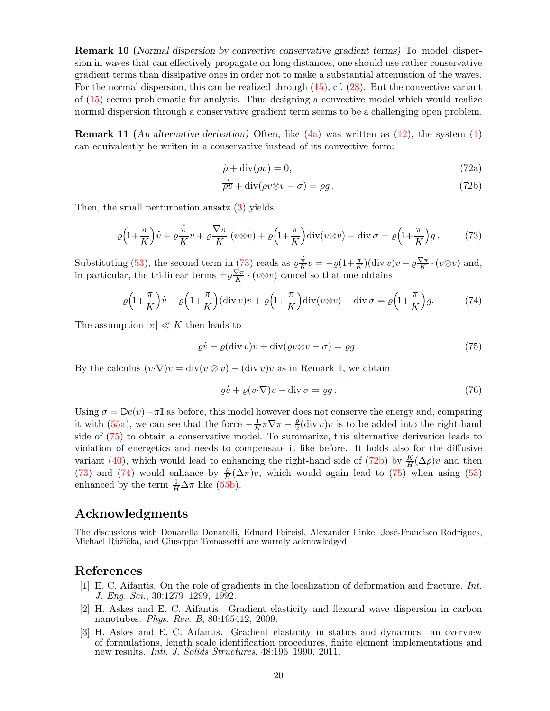Remark 10 (Normal dispersion by convective conservative gradient terms) To model dispersion in waves that can effectively propagate on long distances, one should use rather conservative gradient terms than dissipative ones in order not to make a substantial attenuation of the waves. For the normal dispersion, this can be realized through [\(15\)](#page-4-4), cf. [\(28\)](#page-7-2). But the convective variant of [\(15\)](#page-4-4) seems problematic for analysis. Thus designing a convective model which would realize normal dispersion through a conservative gradient term seems to be a challenging open problem.

**Remark 11** (An alternative derivation) Often, like  $(4a)$  was written as  $(12)$ , the system  $(1)$ can equivalently be writen in a conservative instead of its convective form:

<span id="page-19-5"></span>
$$
\dot{\rho} + \text{div}(\rho v) = 0,\tag{72a}
$$

<span id="page-19-3"></span>
$$
\vec{p} + \text{div}(\rho v) = 0,
$$
\n
$$
\vec{p} + \text{div}(\rho v \otimes v - \sigma) = \rho g.
$$
\n(72b)

Then, the small perturbation ansatz [\(3\)](#page-2-5) yields

$$
\varrho\Big(1+\frac{\pi}{K}\Big)\dot{v} + \varrho\frac{\dot{\pi}}{K}v + \varrho\frac{\nabla\pi}{K}\cdot(v\otimes v) + \varrho\Big(1+\frac{\pi}{K}\Big)\mathrm{div}(v\otimes v) - \mathrm{div}\,\sigma = \varrho\Big(1+\frac{\pi}{K}\Big)g\,. \tag{73}
$$

Substituting  $(53)$ , the second term in  $(73)$  reads as  $\varrho$ . π  $\frac{\dot{\pi}}{K}v = -\varrho(1+\frac{\pi}{K})(\text{div} v)v - \varrho\frac{\nabla\pi}{K}$  $\frac{\sqrt{\pi}}{K} \cdot (v \otimes v)$  and, in particular, the tri-linear terms  $\pm \varrho \frac{\nabla \pi}{K}$  $\frac{\sqrt{\pi}}{K} \cdot (v \otimes v)$  cancel so that one obtains

$$
\varrho\left(1+\frac{\pi}{K}\right)\dot{v} - \varrho\left(1+\frac{\pi}{K}\right)(\operatorname{div} v)v + \varrho\left(1+\frac{\pi}{K}\right)\operatorname{div}(v\otimes v) - \operatorname{div}\sigma = \varrho\left(1+\frac{\pi}{K}\right)g. \tag{74}
$$

The assumption  $|\pi| \ll K$  then leads to

$$
\varrho \dot{v} - \varrho (\operatorname{div} v)v + \operatorname{div} (\varrho v \otimes v - \sigma) = \varrho g. \tag{75}
$$

By the calculus  $(v\cdot\nabla)v = \text{div}(v\otimes v) - (\text{div } v)v$  as in Remark [1,](#page-3-5) we obtain

<span id="page-19-6"></span><span id="page-19-4"></span>
$$
\varrho \dot{v} + \varrho (v \cdot \nabla) v - \operatorname{div} \sigma = \varrho g. \tag{76}
$$

Using  $\sigma = \mathbb{D}e(v) - \pi\mathbb{I}$  as before, this model however does not conserve the energy and, comparing it with [\(55a\)](#page-13-2), we can see that the force  $-\frac{1}{K}$  $\frac{1}{K}\pi\nabla\pi-\frac{\varrho}{2}$  $\frac{\rho}{2}$ (div v)v is to be added into the right-hand side of [\(75\)](#page-19-4) to obtain a conservative model. To summarize, this alternative derivation leads to violation of energetics and needs to compensate it like before. It holds also for the diffusive variant [\(40\)](#page-10-3), which would lead to enhancing the right-hand side of [\(72b\)](#page-19-5) by  $\frac{K}{H}(\Delta \rho)v$  and then [\(73\)](#page-19-3) and [\(74\)](#page-19-6) would enhance by  $\frac{\rho}{H}(\Delta \pi)v$ , which would again lead to [\(75\)](#page-19-4) when using [\(53\)](#page-13-5) enhanced by the term  $\frac{1}{H}\Delta\pi$  like [\(55b\)](#page-13-4).

### Acknowledgments

The discussions with Donatella Donatelli, Eduard Feireisl, Alexander Linke, José-Francisco Rodrigues, Michael Růžička, and Giuseppe Tomassetti are warmly acknowledged.

#### <span id="page-19-1"></span>References

- [1] E. C. Aifantis. On the role of gradients in the localization of deformation and fracture. Int. J. Eng. Sci., 30:1279–1299, 1992.
- <span id="page-19-0"></span>[2] H. Askes and E. C. Aifantis. Gradient elasticity and flexural wave dispersion in carbon nanotubes. Phys. Rev. B, 80:195412, 2009.
- <span id="page-19-2"></span>[3] H. Askes and E. C. Aifantis. Gradient elasticity in statics and dynamics: an overview of formulations, length scale identification procedures, finite element implementations and new results. *Intl. J. Solids Structures*,  $48:196-1990$ ,  $2011$ .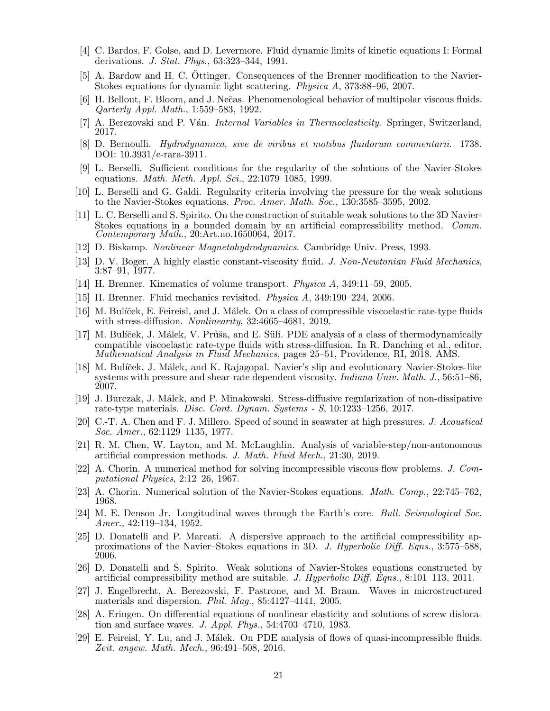- <span id="page-20-16"></span><span id="page-20-13"></span>[4] C. Bardos, F. Golse, and D. Levermore. Fluid dynamic limits of kinetic equations I: Formal derivations. J. Stat. Phys., 63:323–344, 1991.
- <span id="page-20-18"></span>[5] A. Bardow and H. C. Ottinger. Consequences of the Brenner modification to the Navier-Stokes equations for dynamic light scattering. Physica A, 373:88–96, 2007.
- <span id="page-20-9"></span>[6] H. Bellout, F. Bloom, and J. Nečas. Phenomenological behavior of multipolar viscous fluids. Qarterly Appl. Math., 1:559–583, 1992.
- <span id="page-20-20"></span>[7] A. Berezovski and P. Ván. *Internal Variables in Thermoelasticity*. Springer, Switzerland, 2017.
- <span id="page-20-24"></span>[8] D. Bernoulli. Hydrodynamica, sive de viribus et motibus fluidorum commentarii. 1738. DOI: 10.3931/e-rara-3911.
- <span id="page-20-25"></span>[9] L. Berselli. Sufficient conditions for the regularity of the solutions of the Navier-Stokes equations. Math. Meth. Appl. Sci., 22:1079–1085, 1999.
- <span id="page-20-7"></span>[10] L. Berselli and G. Galdi. Regularity criteria involving the pressure for the weak solutions to the Navier-Stokes equations. Proc. Amer. Math. Soc., 130:3585–3595, 2002.
- [11] L. C. Berselli and S. Spirito. On the construction of suitable weak solutions to the 3D Navier-Stokes equations in a bounded domain by an artificial compressibility method. Comm. Contemporary Math., 20:Art.no.1650064, 2017.
- <span id="page-20-19"></span><span id="page-20-0"></span>[12] D. Biskamp. Nonlinear Magnetohydrodynamics. Cambridge Univ. Press, 1993.
- <span id="page-20-14"></span>[13] D. V. Boger. A highly elastic constant-viscosity fluid. J. Non-Newtonian Fluid Mechanics, 3:87–91, 1977.
- <span id="page-20-15"></span>[14] H. Brenner. Kinematics of volume transport. Physica A, 349:11–59, 2005.
- <span id="page-20-21"></span>[15] H. Brenner. Fluid mechanics revisited. Physica A, 349:190–224, 2006.
- [16] M. Bulíček, E. Feireisl, and J. Málek. On a class of compressible viscoelastic rate-type fluids with stress-diffusion. *Nonlinearity*, 32:4665-4681, 2019.
- <span id="page-20-22"></span>[17] M. Bulíček, J. Málek, V. Průša, and E. Süli. PDE analysis of a class of thermodynamically compatible viscoelastic rate-type fluids with stress-diffusion. In R. Danching et al., editor, Mathematical Analysis in Fluid Mechanics, pages 25–51, Providence, RI, 2018. AMS.
- <span id="page-20-12"></span>[18] M. Bulíček, J. Málek, and K. Rajagopal. Navier's slip and evolutionary Navier-Stokes-like systems with pressure and shear-rate dependent viscosity. *Indiana Univ. Math. J.*, 56:51–86, 2007.
- <span id="page-20-17"></span>[19] J. Burczak, J. M´alek, and P. Minakowski. Stress-diffusive regularization of non-dissipative rate-type materials. Disc. Cont. Dynam. Systems - S, 10:1233–1256, 2017.
- <span id="page-20-23"></span><span id="page-20-8"></span>[20] C.-T. A. Chen and F. J. Millero. Speed of sound in seawater at high pressures. J. Acoustical Soc. Amer., 62:1129–1135, 1977.
- <span id="page-20-3"></span>[21] R. M. Chen, W. Layton, and M. McLaughlin. Analysis of variable-step/non-autonomous artificial compression methods. J. Math. Fluid Mech., 21:30, 2019.
- [22] A. Chorin. A numerical method for solving incompressible viscous flow problems. J. Computational Physics, 2:12–26, 1967.
- <span id="page-20-6"></span><span id="page-20-4"></span>[23] A. Chorin. Numerical solution of the Navier-Stokes equations. *Math. Comp.*, 22:745–762, 1968.
- [24] M. E. Denson Jr. Longitudinal waves through the Earth's core. Bull. Seismological Soc. Amer., 42:119–134, 1952.
- <span id="page-20-1"></span>[25] D. Donatelli and P. Marcati. A dispersive approach to the artificial compressibility approximations of the Navier–Stokes equations in 3D. J. Hyperbolic Diff. Eqns., 3:575–588, 2006.
- <span id="page-20-2"></span>[26] D. Donatelli and S. Spirito. Weak solutions of Navier-Stokes equations constructed by artificial compressibility method are suitable. J. Hyperbolic Diff. Eqns., 8:101–113, 2011.
- <span id="page-20-10"></span>[27] J. Engelbrecht, A. Berezovski, F. Pastrone, and M. Braun. Waves in microstructured materials and dispersion. Phil. Mag., 85:4127–4141, 2005.
- <span id="page-20-11"></span>[28] A. Eringen. On differential equations of nonlinear elasticity and solutions of screw dislocation and surface waves. J. Appl. Phys., 54:4703–4710, 1983.
- <span id="page-20-5"></span>[29] E. Feireisl, Y. Lu, and J. Málek. On PDE analysis of flows of quasi-incompressible fluids. Zeit. angew. Math. Mech., 96:491–508, 2016.